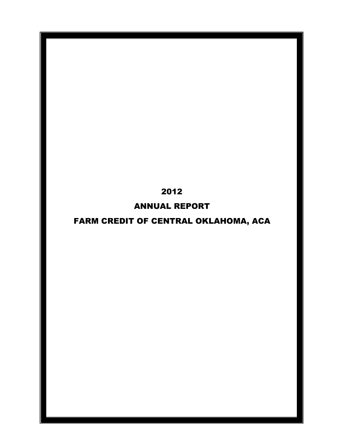## 2012

## ANNUAL REPORT

# FARM CREDIT OF CENTRAL OKLAHOMA, ACA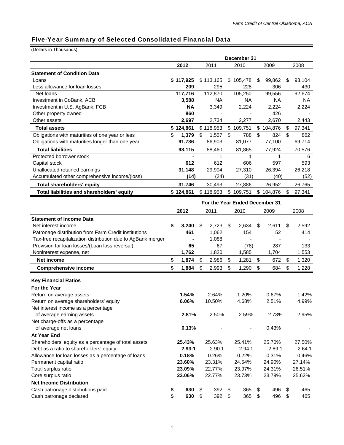Ξ

### Five-Year Summary of Selected Consolidated Financial Data

(Dollars in Thousands)

|                                                             | December 31 |                |                                |             |              |    |        |
|-------------------------------------------------------------|-------------|----------------|--------------------------------|-------------|--------------|----|--------|
|                                                             |             | 2012           | 2011                           | 2010        | 2009         |    | 2008   |
| <b>Statement of Condition Data</b>                          |             |                |                                |             |              |    |        |
| Loans                                                       |             | \$117,925      | \$113,165                      | \$105,478   | \$<br>99,862 | \$ | 93,104 |
| Less allowance for loan losses                              |             | 209            | 295                            | 228         | 306          |    | 430    |
| Net loans                                                   |             | 117,716        | 112,870                        | 105,250     | 99,556       |    | 92,674 |
| Investment in CoBank, ACB                                   |             | 3,588          | NA.                            | NА          | NA           |    | NA     |
| Investment in U.S. AgBank, FCB                              |             | <b>NA</b>      | 3,349                          | 2,224       | 2,224        |    | 2,224  |
| Other property owned                                        |             | 860            |                                |             | 426          |    |        |
| Other assets                                                |             | 2.697          | 2,734                          | 2,277       | 2,670        |    | 2,443  |
| <b>Total assets</b>                                         |             | \$124,861      | \$118,953                      | \$109,751   | \$104,876    | \$ | 97,341 |
| Obligations with maturities of one year or less             | \$          | 1,379          | 1,557<br>\$                    | \$<br>788   | \$<br>824    | \$ | 862    |
| Obligations with maturities longer than one year            |             | 91,736         | 86,903                         | 81,077      | 77,100       |    | 69,714 |
| <b>Total liabilities</b>                                    |             | 93,115         | 88,460                         | 81,865      | 77,924       |    | 70,576 |
| Protected borrower stock                                    |             | $\blacksquare$ | 1                              | 1           | 1            |    | 6      |
| Capital stock                                               |             | 612            | 612                            | 606         | 597          |    | 593    |
| Unallocated retained earnings                               |             | 31,148         | 29,904                         | 27,310      | 26,394       |    | 26,218 |
| Accumulated other comprehensive income/(loss)               |             | (14)           | (24)                           | (31)        | (40)         |    | (52)   |
| Total shareholders' equity                                  |             | 31,746         | 30,493                         | 27,886      | 26,952       |    | 26,765 |
| Total liabilities and shareholders' equity                  |             | \$124,861      | \$118,953                      | \$109,751   | \$104,876    | \$ | 97,341 |
|                                                             |             |                | For the Year Ended December 31 |             |              |    |        |
|                                                             |             | 2012           | 2011                           | 2010        | 2009         |    | 2008   |
| <b>Statement of Income Data</b>                             |             |                |                                |             |              |    |        |
| Net interest income                                         | \$          | 3,240          | S<br>2,723                     | \$<br>2,634 | \$<br>2,611  | \$ | 2,592  |
| Patronage distribution from Farm Credit institutions        |             | 461            | 1,062                          | 154         | 52           |    | 414    |
| Tax-free recapitalization distribution due to AgBank merger |             |                | 1,088                          |             |              |    |        |
| Provision for loan losses/(Loan loss reversal)              |             | 65             | 67                             | (78)        | 287          |    | 133    |
| Noninterest expense, net                                    |             | 1,762          | 1,820                          | 1,585       | 1,704        |    | 1,553  |
| <b>Net income</b>                                           | \$          | 1,874          | \$<br>2,986                    | \$<br>1,281 | \$<br>672    | \$ | 1,320  |
| <b>Comprehensive income</b>                                 | \$          | 1,884          | \$<br>2,993                    | \$<br>1,290 | \$<br>684    | \$ | 1,228  |
| <b>Key Financial Ratios</b>                                 |             |                |                                |             |              |    |        |
| For the Year                                                |             |                |                                |             |              |    |        |
| Return on average assets                                    |             | 1.54%          | 2.64%                          | 1.20%       | 0.67%        |    | 1.42%  |
| Return on average shareholders' equity                      |             | 6.06%          | 10.50%                         | 4.68%       | 2.51%        |    | 4.99%  |
| Net interest income as a percentage                         |             |                |                                |             |              |    |        |
| of average earning assets                                   |             | 2.81%          | 2.50%                          | 2.59%       | 2.73%        |    | 2.95%  |
| Net charge-offs as a percentage                             |             |                |                                |             |              |    |        |
| of average net loans                                        |             | 0.13%          |                                |             | 0.43%        |    |        |
| <b>At Year End</b>                                          |             |                |                                |             |              |    |        |
| Shareholders' equity as a percentage of total assets        |             | 25.43%         | 25.63%                         | 25.41%      | 25.70%       |    | 27.50% |
| Debt as a ratio to shareholders' equity                     |             | 2.93:1         | 2.90:1                         | 2.94:1      | 2.89:1       |    | 2.64:1 |
| Allowance for loan losses as a percentage of loans          |             | 0.18%          | 0.26%                          | 0.22%       | 0.31%        |    | 0.46%  |
| Permanent capital ratio                                     |             | 23.60%         | 23.31%                         | 24.54%      | 24.90%       |    | 27.14% |
| Total surplus ratio                                         |             | 23.09%         | 22.77%                         | 23.97%      | 24.31%       |    | 26.51% |
| Core surplus ratio                                          |             | 23.06%         | 22.77%                         | 23.73%      | 23.79%       |    | 25.62% |
| <b>Net Income Distribution</b>                              |             |                |                                |             |              |    |        |
| Cash patronage distributions paid                           | \$          | 630            | \$<br>392                      | \$<br>365   | \$<br>496    | \$ | 465    |
| Cash patronage declared                                     | \$          | 630            | 392<br>\$                      | \$<br>365   | \$<br>496    | \$ | 465    |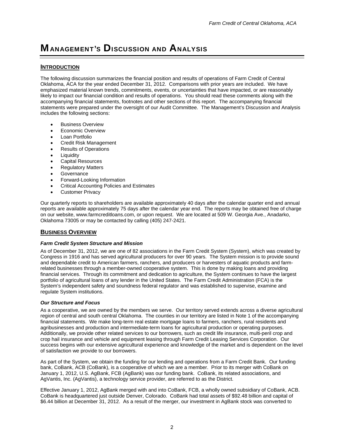## **MANAGEMENT'S DISCUSSION AND ANALYSIS**

### **INTRODUCTION**

The following discussion summarizes the financial position and results of operations of Farm Credit of Central Oklahoma, ACA for the year ended December 31, 2012. Comparisons with prior years are included. We have emphasized material known trends, commitments, events, or uncertainties that have impacted, or are reasonably likely to impact our financial condition and results of operations. You should read these comments along with the accompanying financial statements, footnotes and other sections of this report. The accompanying financial statements were prepared under the oversight of our Audit Committee. The Management's Discussion and Analysis includes the following sections:

- **•** Business Overview
- Economic Overview
- Loan Portfolio
- Credit Risk Management
- Results of Operations
- **•** Liquidity
- Capital Resources
- Regulatory Matters
- **Governance**
- Forward-Looking Information
- Critical Accounting Policies and Estimates
- Customer Privacy

Our quarterly reports to shareholders are available approximately 40 days after the calendar quarter end and annual reports are available approximately 75 days after the calendar year end. The reports may be obtained free of charge on our website, www.farmcreditloans.com, or upon request. We are located at 509 W. Georgia Ave., Anadarko, Oklahoma 73005 or may be contacted by calling (405) 247-2421.

### **BUSINESS OVERVIEW**

### *Farm Credit System Structure and Mission*

As of December 31, 2012, we are one of 82 associations in the Farm Credit System (System), which was created by Congress in 1916 and has served agricultural producers for over 90 years. The System mission is to provide sound and dependable credit to American farmers, ranchers, and producers or harvesters of aquatic products and farmrelated businesses through a member-owned cooperative system. This is done by making loans and providing financial services. Through its commitment and dedication to agriculture, the System continues to have the largest portfolio of agricultural loans of any lender in the United States. The Farm Credit Administration (FCA) is the System's independent safety and soundness federal regulator and was established to supervise, examine and regulate System institutions.

### *Our Structure and Focus*

As a cooperative, we are owned by the members we serve. Our territory served extends across a diverse agricultural region of central and south central Oklahoma. The counties in our territory are listed in Note 1 of the accompanying financial statements. We make long-term real estate mortgage loans to farmers, ranchers, rural residents and agribusinesses and production and intermediate-term loans for agricultural production or operating purposes. Additionally, we provide other related services to our borrowers, such as credit life insurance, multi-peril crop and crop hail insurance and vehicle and equipment leasing through Farm Credit Leasing Services Corporation. Our success begins with our extensive agricultural experience and knowledge of the market and is dependent on the level of satisfaction we provide to our borrowers.

As part of the System, we obtain the funding for our lending and operations from a Farm Credit Bank. Our funding bank, CoBank, ACB (CoBank), is a cooperative of which we are a member. Prior to its merger with CoBank on January 1, 2012, U.S. AgBank, FCB (AgBank) was our funding bank. CoBank, its related associations, and AgVantis, Inc. (AgVantis), a technology service provider, are referred to as the District.

Effective January 1, 2012, AgBank merged with and into CoBank, FCB, a wholly owned subsidiary of CoBank, ACB. CoBank is headquartered just outside Denver, Colorado. CoBank had total assets of \$92.48 billion and capital of \$6.44 billion at December 31, 2012. As a result of the merger, our investment in AgBank stock was converted to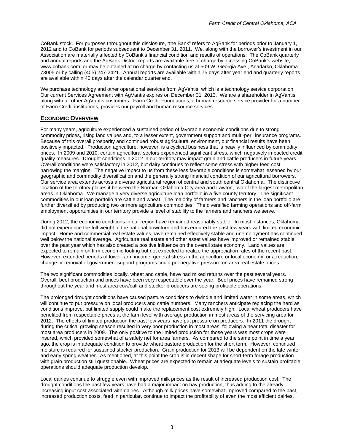CoBank stock. For purposes throughout this disclosure, "the Bank" refers to AgBank for periods prior to January 1, 2012 and to CoBank for periods subsequent to December 31, 2011. We, along with the borrower's investment in our Association are materially affected by CoBank's financial condition and results of operations. The CoBank quarterly and annual reports and the AgBank District reports are available free of charge by accessing CoBank's website, www.cobank.com, or may be obtained at no charge by contacting us at 509 W. Georgia Ave., Anadarko, Oklahoma 73005 or by calling (405) 247-2421. Annual reports are available within 75 days after year end and quarterly reports are available within 40 days after the calendar quarter end.

We purchase technology and other operational services from AgVantis, which is a technology service corporation. Our current Services Agreement with AgVantis expires on December 31, 2013. We are a shareholder in AgVantis, along with all other AgVantis customers. Farm Credit Foundations, a human resource service provider for a number of Farm Credit institutions, provides our payroll and human resource services.

### **ECONOMIC OVERVIEW**

For many years, agriculture experienced a sustained period of favorable economic conditions due to strong commodity prices, rising land values and, to a lesser extent, government support and multi-peril insurance programs. Because of this overall prosperity and continued robust agricultural environment, our financial results have been positively impacted. Production agriculture, however, is a cyclical business that is heavily influenced by commodity prices. In 2009 and 2010, certain agricultural sectors experienced significant stress, which negatively impacted credit quality measures. Drought conditions in 2012 in our territory may impact grain and cattle producers in future years. Overall conditions were satisfactory in 2012, but dairy continues to reflect some stress with higher feed cost narrowing the margins. The negative impact to us from these less favorable conditions is somewhat lessened by our geographic and commodity diversification and the generally strong financial condition of our agricultural borrowers. Our service area extends across a diverse agricultural region of central and south central Oklahoma. The distinctive location of the territory places it between the Norman-Oklahoma City area and Lawton, two of the largest metropolitan areas in Oklahoma. We manage a very diverse agriculture loan portfolio in a five county territory. The significant commodities in our loan portfolio are cattle and wheat. The majority of farmers and ranchers in the loan portfolio are further diversified by producing two or more agriculture commodities. The diversified farming operations and off-farm employment opportunities in our territory provide a level of stability to the farmers and ranchers we serve.

During 2012, the economic conditions in our region have remained reasonably stable. In most instances, Oklahoma did not experience the full weight of the national downturn and has endured the past few years with limited economic impact. Home and commercial real estate values have remained effectively stable and unemployment has continued well below the national average. Agriculture real estate and other asset values have improved or remained stable over the past year which has also created a positive influence on the overall state economy. Land values are expected to remain on firm economic footing but not expected to realize the appreciation rates of the recent past. However, extended periods of lower farm income, general stress in the agriculture or local economy, or a reduction, change or removal of government support programs could put negative pressure on area real estate prices.

The two significant commodities locally, wheat and cattle, have had mixed returns over the past several years. Overall, beef production and prices have been very respectable over the year. Beef prices have remained strong throughout the year and most area cow/calf and stocker producers are seeing profitable operations.

The prolonged drought conditions have caused pasture conditions to dwindle and limited water in some areas, which will continue to put pressure on local producers and cattle numbers. Many ranchers anticipate replacing the herd as conditions improve, but limited supply could make the replacement cost extremely high. Local wheat producers have benefited from respectable prices at the farm level with average production in most areas of the servicing area for 2012. The effects of limited production the past few years have put pressure on producers. In 2011 the drought during the critical growing season resulted in very poor production in most areas, following a near total disaster for most area producers in 2009. The only positive to the limited production for those years was most crops were insured, which provided somewhat of a safety net for area farmers. As compared to the same point in time a year ago, the crop is in adequate condition to provide wheat pasture production for the short term. However, continued moisture is required for sustained stocker production. Grain production for 2013 will be dependent on the late winter and early spring weather. As mentioned, at this point the crop is in decent shape for short-term forage production with grain production still questionable. Wheat prices are expected to remain at adequate levels to sustain profitable operations should adequate production develop.

Local dairies continue to struggle even with improved milk prices as the result of increased production cost. The drought conditions the past few years have had a major impact on hay production, thus adding to the already increasing input cost associated with dairies. Although milk prices have somewhat improved compared to the past, increased production costs, feed in particular, continue to impact the profitability of even the most efficient dairies.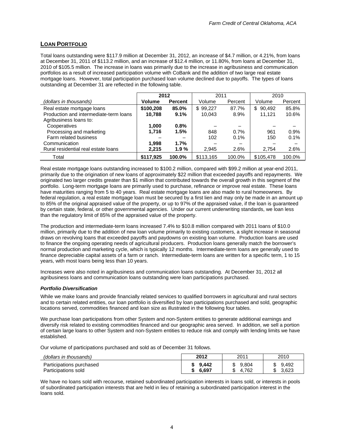### **LOAN PORTFOLIO**

Total loans outstanding were \$117.9 million at December 31, 2012, an increase of \$4.7 million, or 4.21%, from loans at December 31, 2011 of \$113.2 million, and an increase of \$12.4 million, or 11.80%, from loans at December 31, 2010 of \$105.5 million. The increase in loans was primarily due to the increase in agribusiness and communication portfolios as a result of increased participation volume with CoBank and the addition of two large real estate mortgage loans. However, total participation purchased loan volume declined due to payoffs. The types of loans outstanding at December 31 are reflected in the following table.

|                                        | 2012          |                | 2011      |         | 2010          |         |
|----------------------------------------|---------------|----------------|-----------|---------|---------------|---------|
| (dollars in thousands)                 | <b>Volume</b> | <b>Percent</b> | Volume    | Percent | Volume        | Percent |
| Real estate mortgage loans             | \$100,208     | 85.0%          | \$99,227  | 87.7%   | 90.492<br>\$. | 85.8%   |
| Production and intermediate-term loans | 10,788        | 9.1%           | 10,043    | 8.9%    | 11.121        | 10.6%   |
| Agribusiness loans to:                 |               |                |           |         |               |         |
| Cooperatives                           | 1.000         | 0.8%           |           |         |               |         |
| Processing and marketing               | 1.716         | 1.5%           | 848       | 0.7%    | 961           | 0.9%    |
| Farm related business                  |               | -              | 102       | 0.1%    | 150           | 0.1%    |
| Communication                          | 1.998         | 1.7%           |           |         |               |         |
| Rural residential real estate loans    | 2.215         | 1.9%           | 2,945     | 2.6%    | 2.754         | 2.6%    |
| Total                                  | \$117.925     | 100.0%         | \$113,165 | 100.0%  | \$105.478     | 100.0%  |

Real estate mortgage loans outstanding increased to \$100.2 million, compared with \$99.2 million at year-end 2011, primarily due to the origination of new loans of approximately \$22 million that exceeded payoffs and repayments. We originated two larger credits greater than \$1 million that contributed towards the overall growth in this segment of the portfolio. Long-term mortgage loans are primarily used to purchase, refinance or improve real estate. These loans have maturities ranging from 5 to 40 years. Real estate mortgage loans are also made to rural homeowners. By federal regulation, a real estate mortgage loan must be secured by a first lien and may only be made in an amount up to 85% of the original appraised value of the property, or up to 97% of the appraised value, if the loan is guaranteed by certain state, federal, or other governmental agencies. Under our current underwriting standards, we loan less than the regulatory limit of 85% of the appraised value of the property.

The production and intermediate-term loans increased 7.4% to \$10.8 million compared with 2011 loans of \$10.0 million, primarily due to the addition of new loan volume primarily to existing customers, a slight increase in seasonal draws on revolving loans that exceeded payoffs and paydowns on existing loan volume. Production loans are used to finance the ongoing operating needs of agricultural producers. Production loans generally match the borrower's normal production and marketing cycle, which is typically 12 months. Intermediate-term loans are generally used to finance depreciable capital assets of a farm or ranch. Intermediate-term loans are written for a specific term, 1 to 15 years, with most loans being less than 10 years.

Increases were also noted in agribusiness and communication loans outstanding. At December 31, 2012 all agribusiness loans and communication loans outstanding were loan participations purchased.

### *Portfolio Diversification*

While we make loans and provide financially related services to qualified borrowers in agricultural and rural sectors and to certain related entities, our loan portfolio is diversified by loan participations purchased and sold, geographic locations served, commodities financed and loan size as illustrated in the following four tables.

We purchase loan participations from other System and non-System entities to generate additional earnings and diversify risk related to existing commodities financed and our geographic area served. In addition, we sell a portion of certain large loans to other System and non-System entities to reduce risk and comply with lending limits we have established.

Our volume of participations purchased and sold as of December 31 follows.

| (dollars in thousands)                          | 2012           | 2011                       | 2010                      |
|-------------------------------------------------|----------------|----------------------------|---------------------------|
| Participations purchased<br>Participations sold | 9.442<br>6.697 | 9.804<br>.762<br>4.1<br>۰D | 9.492<br>D<br>3.623<br>۰D |

We have no loans sold with recourse, retained subordinated participation interests in loans sold, or interests in pools of subordinated participation interests that are held in lieu of retaining a subordinated participation interest in the loans sold.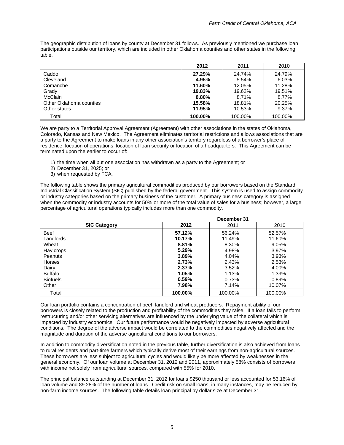The geographic distribution of loans by county at December 31 follows. As previously mentioned we purchase loan participations outside our territory, which are included in other Oklahoma counties and other states in the following table.

|                         | 2012     | 2011    | 2010    |
|-------------------------|----------|---------|---------|
| Caddo                   | 27.29%   | 24.74%  | 24.79%  |
| Cleveland               | 4.95%    | 5.54%   | 6.03%   |
| Comanche                | 11.60%   | 12.05%  | 11.28%  |
| Grady                   | 19.83%   | 19.62%  | 19.51%  |
| <b>McClain</b>          | $8.80\%$ | 8.71%   | 8.77%   |
| Other Oklahoma counties | 15.58%   | 18.81%  | 20.25%  |
| Other states            | 11.95%   | 10.53%  | 9.37%   |
| Total                   | 100.00%  | 100.00% | 100.00% |

We are party to a Territorial Approval Agreement (Agreement) with other associations in the states of Oklahoma, Colorado, Kansas and New Mexico. The Agreement eliminates territorial restrictions and allows associations that are a party to the Agreement to make loans in any other association's territory regardless of a borrower's place of residence, location of operations, location of loan security or location of a headquarters. This Agreement can be terminated upon the earlier to occur of:

- 1) the time when all but one association has withdrawn as a party to the Agreement; or
- 2) December 31, 2025; or
- 3) when requested by FCA.

The following table shows the primary agricultural commodities produced by our borrowers based on the Standard Industrial Classification System (SIC) published by the federal government. This system is used to assign commodity or industry categories based on the primary business of the customer. A primary business category is assigned when the commodity or industry accounts for 50% or more of the total value of sales for a business; however, a large percentage of agricultural operations typically includes more than one commodity.

|                     |         | December 31 |         |
|---------------------|---------|-------------|---------|
| <b>SIC Category</b> | 2012    | 2011        | 2010    |
| <b>Beef</b>         | 57.12%  | 56.24%      | 52.57%  |
| Landlords           | 10.17%  | 11.49%      | 11.60%  |
| Wheat               | 8.81%   | 8.30%       | 9.05%   |
| Hay crops           | 5.29%   | 4.98%       | 3.97%   |
| Peanuts             | 3.89%   | 4.04%       | 3.93%   |
| Horses              | 2.73%   | 2.43%       | 2.53%   |
| Dairy               | 2.37%   | 3.52%       | 4.00%   |
| <b>Buffalo</b>      | 1.05%   | 1.13%       | 1.39%   |
| <b>Biofuels</b>     | 0.59%   | 0.73%       | 0.89%   |
| Other               | 7.98%   | 7.14%       | 10.07%  |
| Total               | 100.00% | 100.00%     | 100.00% |

Our loan portfolio contains a concentration of beef, landlord and wheat producers. Repayment ability of our borrowers is closely related to the production and profitability of the commodities they raise. If a loan fails to perform, restructuring and/or other servicing alternatives are influenced by the underlying value of the collateral which is impacted by industry economics. Our future performance would be negatively impacted by adverse agricultural conditions. The degree of the adverse impact would be correlated to the commodities negatively affected and the magnitude and duration of the adverse agricultural conditions to our borrowers.

In addition to commodity diversification noted in the previous table, further diversification is also achieved from loans to rural residents and part-time farmers which typically derive most of their earnings from non-agricultural sources. These borrowers are less subject to agricultural cycles and would likely be more affected by weaknesses in the general economy. Of our loan volume at December 31, 2012 and 2011, approximately 58% consists of borrowers with income not solely from agricultural sources, compared with 55% for 2010.

The principal balance outstanding at December 31, 2012 for loans \$250 thousand or less accounted for 53.16% of loan volume and 89.28% of the number of loans. Credit risk on small loans, in many instances, may be reduced by non-farm income sources. The following table details loan principal by dollar size at December 31.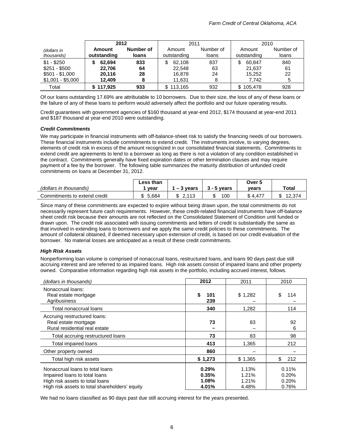|                           | 2012                  |                    | 2011                  |                    | 2010                  |                    |
|---------------------------|-----------------------|--------------------|-----------------------|--------------------|-----------------------|--------------------|
| (dollars in<br>thousands) | Amount<br>outstanding | Number of<br>loans | Amount<br>outstanding | Number of<br>loans | Amount<br>outstanding | Number of<br>loans |
| $$1 - $250$               | 62.694                | 833                | 62.108                | 837                | \$<br>60.847          | 840                |
| $$251 - $500$             | 22.706                | 64                 | 22.548                | 63                 | 21.637                | 61                 |
| $$501 - $1,000$           | 20.116                | 28                 | 16.878                | 24                 | 15.252                | 22                 |
| $$1,001 - $5,000$         | 12.409                |                    | 11,631                |                    | 7.742                 | 5                  |
| Total                     | \$117.925             | 933                | \$113,165             | 932                | \$105,478             | 928                |

Of our loans outstanding 17.69% are attributable to 10 borrowers. Due to their size, the loss of any of these loans or the failure of any of these loans to perform would adversely affect the portfolio and our future operating results.

Credit guarantees with government agencies of \$160 thousand at year-end 2012, \$174 thousand at year-end 2011 and \$187 thousand at year-end 2010 were outstanding.

### *Credit Commitments*

We may participate in financial instruments with off-balance-sheet risk to satisfy the financing needs of our borrowers. These financial instruments include commitments to extend credit. The instruments involve, to varying degrees, elements of credit risk in excess of the amount recognized in our consolidated financial statements. Commitments to extend credit are agreements to lend to a borrower as long as there is not a violation of any condition established in the contract. Commitments generally have fixed expiration dates or other termination clauses and may require payment of a fee by the borrower. The following table summarizes the maturity distribution of unfunded credit commitments on loans at December 31, 2012.

|                              | ∟ess than   |                              |               | Over 5         |              |
|------------------------------|-------------|------------------------------|---------------|----------------|--------------|
| (dollars in thousands)       | vear        | $-3$<br>vears                | $3 - 5$ vears | vears          | Total        |
| Commitments to extend credit | -684 ق<br>ጦ | 2.112<br>æ<br>۰D<br><u>.</u> | 100           | 4.47<br>ጦ<br>Œ | 12.374<br>۰D |

Since many of these commitments are expected to expire without being drawn upon, the total commitments do not necessarily represent future cash requirements. However, these credit-related financial instruments have off-balance sheet credit risk because their amounts are not reflected on the Consolidated Statement of Condition until funded or drawn upon. The credit risk associated with issuing commitments and letters of credit is substantially the same as that involved in extending loans to borrowers and we apply the same credit policies to these commitments. The amount of collateral obtained, if deemed necessary upon extension of credit, is based on our credit evaluation of the borrower. No material losses are anticipated as a result of these credit commitments.

### *High Risk Assets*

Nonperforming loan volume is comprised of nonaccrual loans, restructured loans, and loans 90 days past due still accruing interest and are referred to as impaired loans. High risk assets consist of impaired loans and other property owned. Comparative information regarding high risk assets in the portfolio, including accrued interest, follows.

| (dollars in thousands)                                                                                                                                | 2012                             | 2011                             | 2010                             |
|-------------------------------------------------------------------------------------------------------------------------------------------------------|----------------------------------|----------------------------------|----------------------------------|
| Nonaccrual loans:<br>Real estate mortgage<br>Agribusiness                                                                                             | \$<br>101<br>239                 | \$1,282                          | \$<br>114                        |
| Total nonaccrual loans                                                                                                                                | 340                              | 1,282                            | 114                              |
| Accruing restructured loans:<br>Real estate mortgage<br>Rural residential real estate                                                                 | 73                               | 83                               | 92<br>6                          |
| Total accruing restructured loans                                                                                                                     | 73                               | 83                               | 98                               |
| Total impaired loans                                                                                                                                  | 413                              | 1,365                            | 212                              |
| Other property owned                                                                                                                                  | 860                              |                                  |                                  |
| Total high risk assets                                                                                                                                | \$1,273                          | \$1,365                          | \$<br>212                        |
| Nonaccrual loans to total loans<br>Impaired loans to total loans<br>High risk assets to total loans<br>High risk assets to total shareholders' equity | 0.29%<br>0.35%<br>1.08%<br>4.01% | 1.13%<br>1.21%<br>1.21%<br>4.48% | 0.11%<br>0.20%<br>0.20%<br>0.76% |

We had no loans classified as 90 days past due still accruing interest for the years presented.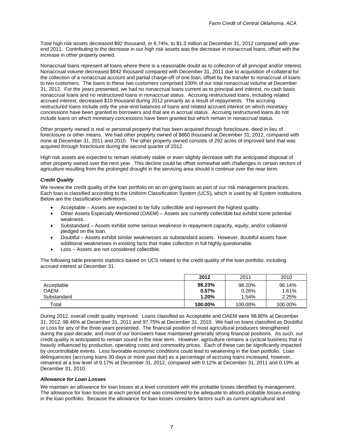Total high risk assets decreased \$92 thousand, or 6.74%, to \$1.3 million at December 31, 2012 compared with yearend 2011. Contributing to the decrease in our high risk assets was the decrease in nonaccrual loans, offset with the increase in other property owned.

Nonaccrual loans represent all loans where there is a reasonable doubt as to collection of all principal and/or interest. Nonaccrual volume decreased \$942 thousand compared with December 31, 2011 due to acquisition of collateral for the collection of a nonaccrual account and partial charge-off of one loan, offset by the transfer to nonaccrual of loans to two customers. The loans to these two customers comprised 100% of our total nonaccrual volume at December 31, 2012. For the years presented, we had no nonaccrual loans current as to principal and interest, no cash basis nonaccrual loans and no restructured loans in nonaccrual status. Accruing restructured loans, including related accrued interest, decreased \$10 thousand during 2012 primarily as a result of repayments. The accruing restructured loans include only the year-end balances of loans and related accrued interest on which monetary concessions have been granted to borrowers and that are in accrual status. Accruing restructured loans do not include loans on which monetary concessions have been granted but which remain in nonaccrual status.

Other property owned is real or personal property that has been acquired through foreclosure, deed in lieu of foreclosure or other means. We had other property owned of \$860 thousand at December 31, 2012, compared with none at December 31, 2011 and 2010. The other property owned consists of 292 acres of improved land that was acquired through foreclosure during the second quarter of 2012.

High risk assets are expected to remain relatively stable or even slightly decrease with the anticipated disposal of other property owned over the next year. This decline could be offset somewhat with challenges in certain sectors of agriculture resulting from the prolonged drought in the servicing area should it continue over the near term.

### *Credit Quality*

We review the credit quality of the loan portfolio on an on-going basis as part of our risk management practices. Each loan is classified according to the Uniform Classification System (UCS), which is used by all System institutions. Below are the classification definitions.

- Acceptable Assets are expected to be fully collectible and represent the highest quality.
- Other Assets Especially Mentioned (OAEM) Assets are currently collectible but exhibit some potential weakness.
- Substandard Assets exhibit some serious weakness in repayment capacity, equity, and/or collateral pledged on the loan.
- Doubtful Assets exhibit similar weaknesses as substandard assets. However, doubtful assets have additional weaknesses in existing facts that make collection in full highly questionable.
- Loss Assets are not considered collectible.

The following table presents statistics based on UCS related to the credit quality of the loan portfolio, including accrued interest at December 31.

|                                          | 2012                        | 2011                     | 2010                     |
|------------------------------------------|-----------------------------|--------------------------|--------------------------|
| Acceptable<br><b>OAEM</b><br>Substandard | 98.23%<br>$0.57\%$<br>1.20% | 98.20%<br>0.26%<br>1.54% | 96.14%<br>1.61%<br>2.25% |
| Total                                    | 100.00%                     | 100.00%                  | 100.00%                  |

During 2012, overall credit quality improved. Loans classified as Acceptable and OAEM were 98.80% at December 31, 2012, 98.46% at December 31, 2011 and 97.75% at December 31, 2010. We had no loans classified as Doubtful or Loss for any of the three years presented. The financial position of most agricultural producers strengthened during the past decade, and most of our borrowers have maintained generally strong financial positions. As such, our credit quality is anticipated to remain sound in the near term. However, agriculture remains a cyclical business that is heavily influenced by production, operating costs and commodity prices. Each of these can be significantly impacted by uncontrollable events. Less favorable economic conditions could lead to weakening in the loan portfolio. Loan delinquencies (accruing loans 30 days or more past due) as a percentage of accruing loans increased, however, remained at a low level of 0.17% at December 31, 2012, compared with 0.12% at December 31, 2011 and 0.19% at December 31, 2010.

### *Allowance for Loan Losses*

We maintain an allowance for loan losses at a level consistent with the probable losses identified by management. The allowance for loan losses at each period end was considered to be adequate to absorb probable losses existing in the loan portfolio. Because the allowance for loan losses considers factors such as current agricultural and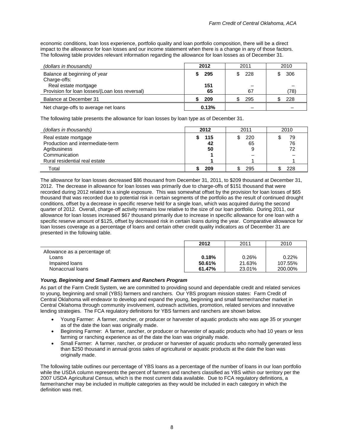economic conditions, loan loss experience, portfolio quality and loan portfolio composition, there will be a direct impact to the allowance for loan losses and our income statement when there is a change in any of those factors. The following table provides relevant information regarding the allowance for loan losses as of December 31.

| (dollars in thousands)                                               | 2012       | 2011 | 2010 |
|----------------------------------------------------------------------|------------|------|------|
| Balance at beginning of year<br>Charge-offs:<br>Real estate mortgage | 295<br>151 | 228  | 306  |
| Provision for loan losses/(Loan loss reversal)                       | 65         | 67   | (78) |
| Balance at December 31                                               | 209        | 295  | 228  |
| Net charge-offs to average net loans                                 | 0.13%      |      |      |

The following table presents the allowance for loan losses by loan type as of December 31.

| (dollars in thousands)           | 2012 | 2011 | 2010 |
|----------------------------------|------|------|------|
| Real estate mortgage             | 115  | 220  | 79   |
| Production and intermediate-term | 42   | 65   | 76   |
| Agribusiness                     | 50   |      | 72   |
| Communication                    |      |      |      |
| Rural residential real estate    |      |      |      |
| Total                            | 209  | 295  | 228  |

The allowance for loan losses decreased \$86 thousand from December 31, 2011, to \$209 thousand at December 31, 2012. The decrease in allowance for loan losses was primarily due to charge-offs of \$151 thousand that were recorded during 2012 related to a single exposure. This was somewhat offset by the provision for loan losses of \$65 thousand that was recorded due to potential risk in certain segments of the portfolio as the result of continued drought conditions, offset by a decrease in specific reserve held for a single loan, which was acquired during the second quarter of 2012. Overall, charge-off activity remains low relative to the size of our loan portfolio. During 2011, our allowance for loan losses increased \$67 thousand primarily due to increase in specific allowance for one loan with a specific reserve amount of \$125, offset by decreased risk in certain loans during the year. Comparative allowance for loan losses coverage as a percentage of loans and certain other credit quality indicators as of December 31 are presented in the following table.

|                               | 2012   | 2011   | 2010    |
|-------------------------------|--------|--------|---------|
| Allowance as a percentage of: |        |        |         |
| Loans                         | 0.18%  | 0.26%  | 0.22%   |
| Impaired loans                | 50.61% | 21.63% | 107.55% |
| Nonaccrual loans              | 61.47% | 23.01% | 200.00% |

### *Young, Beginning and Small Farmers and Ranchers Program*

As part of the Farm Credit System, we are committed to providing sound and dependable credit and related services to young, beginning and small (YBS) farmers and ranchers. Our YBS program mission states: Farm Credit of Central Oklahoma will endeavor to develop and expand the young, beginning and small farmer/rancher market in Central Oklahoma through community involvement, outreach activities, promotion, related services and innovative lending strategies. The FCA regulatory definitions for YBS farmers and ranchers are shown below.

- Young Farmer: A farmer, rancher, or producer or harvester of aquatic products who was age 35 or younger as of the date the loan was originally made.
- Beginning Farmer: A farmer, rancher, or producer or harvester of aquatic products who had 10 years or less farming or ranching experience as of the date the loan was originally made.
- Small Farmer: A farmer, rancher, or producer or harvester of aquatic products who normally generated less than \$250 thousand in annual gross sales of agricultural or aquatic products at the date the loan was originally made.

The following table outlines our percentage of YBS loans as a percentage of the number of loans in our loan portfolio while the USDA column represents the percent of farmers and ranchers classified as YBS within our territory per the 2007 USDA Agricultural Census, which is the most current data available. Due to FCA regulatory definitions, a farmer/rancher may be included in multiple categories as they would be included in each category in which the definition was met.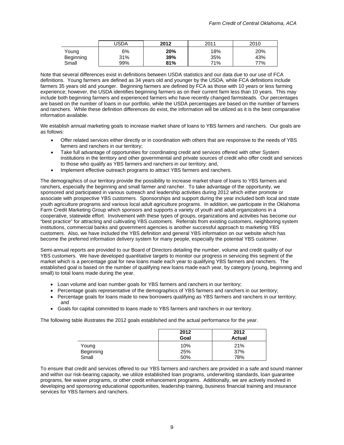|           | <b>USDA</b> | 2012 | 2011 | 2010 |
|-----------|-------------|------|------|------|
| Young     | 6%          | 20%  | 18%  | 20%  |
| Beginning | 31%         | 39%  | 35%  | 43%  |
| Small     | 99%         | 81%  | 71%  | 77%  |

Note that several differences exist in definitions between USDA statistics and our data due to our use of FCA definitions. Young farmers are defined as 34 years old and younger by the USDA, while FCA definitions include farmers 35 years old and younger. Beginning farmers are defined by FCA as those with 10 years or less farming experience; however, the USDA identifies beginning farmers as on their current farm less than 10 years. This may include both beginning farmers and experienced farmers who have recently changed farmsteads. Our percentages are based on the number of loans in our portfolio, while the USDA percentages are based on the number of farmers and ranchers. While these definition differences do exist, the information will be utilized as it is the best comparative information available.

We establish annual marketing goals to increase market share of loans to YBS farmers and ranchers. Our goals are as follows:

- Offer related services either directly or in coordination with others that are responsive to the needs of YBS farmers and ranchers in our territory;
- Take full advantage of opportunities for coordinating credit and services offered with other System institutions in the territory and other governmental and private sources of credit who offer credit and services to those who qualify as YBS farmers and ranchers in our territory; and,
- Implement effective outreach programs to attract YBS farmers and ranchers.

The demographics of our territory provide the possibility to increase market share of loans to YBS farmers and ranchers, especially the beginning and small farmer and rancher. To take advantage of the opportunity, we sponsored and participated in various outreach and leadership activities during 2012 which either promote or associate with prospective YBS customers. Sponsorships and support during the year included both local and state youth agriculture programs and various local adult agriculture programs. In addition, we participate in the Oklahoma Farm Credit Marketing Group which sponsors and supports a variety of youth and adult organizations in a cooperative, statewide effort. Involvement with these types of groups, organizations and activities has become our "best practice" for attracting and cultivating YBS customers. Referrals from existing customers, neighboring system institutions, commercial banks and government agencies is another successful approach to marketing YBS customers. Also, we have included the YBS definition and general YBS information on our website which has become the preferred information delivery system for many people, especially the potential YBS customer.

Semi-annual reports are provided to our Board of Directors detailing the number, volume and credit quality of our YBS customers. We have developed quantitative targets to monitor our progress in servicing this segment of the market which is a percentage goal for new loans made each year to qualifying YBS farmers and ranchers. The established goal is based on the number of qualifying new loans made each year, by category (young, beginning and small) to total loans made during the year.

- Loan volume and loan number goals for YBS farmers and ranchers in our territory;
- Percentage goals representative of the demographics of YBS farmers and ranchers in our territory;
- Percentage goals for loans made to new borrowers qualifying as YBS farmers and ranchers in our territory; and
- Goals for capital committed to loans made to YBS farmers and ranchers in our territory.

The following table illustrates the 2012 goals established and the actual performance for the year.

|           | 2012<br>Goal | 2012<br><b>Actual</b> |
|-----------|--------------|-----------------------|
| Young     | 10%          | 21%                   |
| Beginning | 25%          | 37%                   |
| Small     | 50%          | 78%                   |

To ensure that credit and services offered to our YBS farmers and ranchers are provided in a safe and sound manner and within our risk-bearing capacity, we utilize established loan programs, underwriting standards, loan guarantee programs, fee waiver programs, or other credit enhancement programs. Additionally, we are actively involved in developing and sponsoring educational opportunities, leadership training, business financial training and insurance services for YBS farmers and ranchers.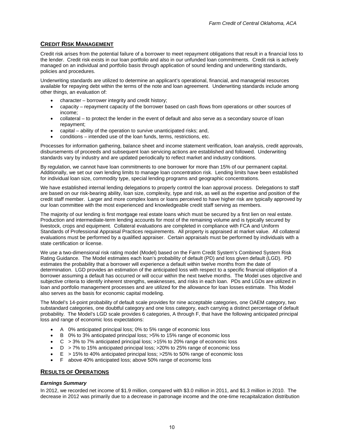### **CREDIT RISK MANAGEMENT**

Credit risk arises from the potential failure of a borrower to meet repayment obligations that result in a financial loss to the lender. Credit risk exists in our loan portfolio and also in our unfunded loan commitments. Credit risk is actively managed on an individual and portfolio basis through application of sound lending and underwriting standards, policies and procedures.

Underwriting standards are utilized to determine an applicant's operational, financial, and managerial resources available for repaying debt within the terms of the note and loan agreement. Underwriting standards include among other things, an evaluation of:

- character borrower integrity and credit history;
- capacity repayment capacity of the borrower based on cash flows from operations or other sources of income;
- collateral to protect the lender in the event of default and also serve as a secondary source of loan repayment;
- capital ability of the operation to survive unanticipated risks; and,
- conditions intended use of the loan funds, terms, restrictions, etc.

Processes for information gathering, balance sheet and income statement verification, loan analysis, credit approvals, disbursements of proceeds and subsequent loan servicing actions are established and followed. Underwriting standards vary by industry and are updated periodically to reflect market and industry conditions.

By regulation, we cannot have loan commitments to one borrower for more than 15% of our permanent capital. Additionally, we set our own lending limits to manage loan concentration risk. Lending limits have been established for individual loan size, commodity type, special lending programs and geographic concentrations.

We have established internal lending delegations to properly control the loan approval process. Delegations to staff are based on our risk-bearing ability, loan size, complexity, type and risk, as well as the expertise and position of the credit staff member. Larger and more complex loans or loans perceived to have higher risk are typically approved by our loan committee with the most experienced and knowledgeable credit staff serving as members.

The majority of our lending is first mortgage real estate loans which must be secured by a first lien on real estate. Production and intermediate-term lending accounts for most of the remaining volume and is typically secured by livestock, crops and equipment. Collateral evaluations are completed in compliance with FCA and Uniform Standards of Professional Appraisal Practices requirements. All property is appraised at market value. All collateral evaluations must be performed by a qualified appraiser. Certain appraisals must be performed by individuals with a state certification or license.

We use a two-dimensional risk rating model (Model) based on the Farm Credit System's Combined System Risk Rating Guidance. The Model estimates each loan's probability of default (PD) and loss given default (LGD). PD estimates the probability that a borrower will experience a default within twelve months from the date of determination. LGD provides an estimation of the anticipated loss with respect to a specific financial obligation of a borrower assuming a default has occurred or will occur within the next twelve months. The Model uses objective and subjective criteria to identify inherent strengths, weaknesses, and risks in each loan. PDs and LGDs are utilized in loan and portfolio management processes and are utilized for the allowance for loan losses estimate. This Model also serves as the basis for economic capital modeling.

The Model's 14-point probability of default scale provides for nine acceptable categories, one OAEM category, two substandard categories, one doubtful category and one loss category, each carrying a distinct percentage of default probability. The Model's LGD scale provides 6 categories, A through F, that have the following anticipated principal loss and range of economic loss expectations:

- A 0% anticipated principal loss; 0% to 5% range of economic loss
- B 0% to 3% anticipated principal loss; >5% to 15% range of economic loss
- C > 3% to 7% anticipated principal loss; >15% to 20% range of economic loss
- D > 7% to 15% anticipated principal loss; >20% to 25% range of economic loss
- E > 15% to 40% anticipated principal loss; >25% to 50% range of economic loss
- F above 40% anticipated loss; above 50% range of economic loss

### **RESULTS OF OPERATIONS**

### *Earnings Summary*

In 2012, we recorded net income of \$1.9 million, compared with \$3.0 million in 2011, and \$1.3 million in 2010. The decrease in 2012 was primarily due to a decrease in patronage income and the one-time recapitalization distribution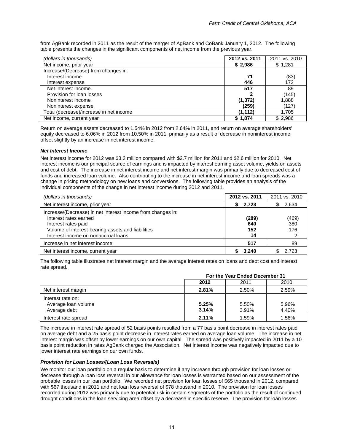from AgBank recorded in 2011 as the result of the merger of AgBank and CoBank January 1, 2012. The following table presents the changes in the significant components of net income from the previous year.

| (dollars in thousands)                  | 2012 vs. 2011 | 2011 vs. 2010 |
|-----------------------------------------|---------------|---------------|
| Net income, prior year                  | \$2,986       | \$1,281       |
| Increase/(Decrease) from changes in:    |               |               |
| Interest income                         | 71            | (83)          |
| Interest expense                        | 446           | 172           |
| Net interest income                     | 517           | 89            |
| Provision for loan losses               |               | (145)         |
| Noninterest income                      | (1, 372)      | 1,888         |
| Noninterest expense                     | (259)         | (127)         |
| Total (decrease)/increase in net income | (1,112)       | 1,705         |
| Net income, current year                | \$1,874       | \$2,986       |

Return on average assets decreased to 1.54% in 2012 from 2.64% in 2011, and return on average shareholders' equity decreased to 6.06% in 2012 from 10.50% in 2011, primarily as a result of decrease in noninterest income, offset slightly by an increase in net interest income.

### *Net Interest Income*

Net interest income for 2012 was \$3.2 million compared with \$2.7 million for 2011 and \$2.6 million for 2010. Net interest income is our principal source of earnings and is impacted by interest earning asset volume, yields on assets and cost of debt. The increase in net interest income and net interest margin was primarily due to decreased cost of funds and increased loan volume. Also contributing to the increase in net interest income and loan spreads was a change in pricing methodology on new loans and conversions. The following table provides an analysis of the individual components of the change in net interest income during 2012 and 2011.

| (dollars in thousands)                                                                                                                                                                                  | 2012 vs. 2011             | 2011 vs. 2010       |
|---------------------------------------------------------------------------------------------------------------------------------------------------------------------------------------------------------|---------------------------|---------------------|
| Net interest income, prior year                                                                                                                                                                         | 2,723<br>S.               | 2,634<br>S          |
| Increase/(Decrease) in net interest income from changes in:<br>Interest rates earned<br>Interest rates paid<br>Volume of interest-bearing assets and liabilities<br>Interest income on nonaccrual loans | (289)<br>640<br>152<br>14 | (469)<br>380<br>176 |
| Increase in net interest income                                                                                                                                                                         | 517                       | 89                  |
| Net interest income, current year                                                                                                                                                                       | 3.240                     | 2.723               |

The following table illustrates net interest margin and the average interest rates on loans and debt cost and interest rate spread.

|                                                          | For the Year Ended December 31 |                |                |  |  |  |
|----------------------------------------------------------|--------------------------------|----------------|----------------|--|--|--|
|                                                          | 2012                           | 2011           | 2010           |  |  |  |
| Net interest margin                                      | 2.81%                          | 2.50%          | 2.59%          |  |  |  |
| Interest rate on:<br>Average loan volume<br>Average debt | 5.25%<br>3.14%                 | 5.50%<br>3.91% | 5.96%<br>4.40% |  |  |  |
| Interest rate spread                                     | 2.11%                          | 1.59%          | 1.56%          |  |  |  |

The increase in interest rate spread of 52 basis points resulted from a 77 basis point decrease in interest rates paid on average debt and a 25 basis point decrease in interest rates earned on average loan volume. The increase in net interest margin was offset by lower earnings on our own capital. The spread was positively impacted in 2011 by a 10 basis point reduction in rates AgBank charged the Association. Net interest income was negatively impacted due to lower interest rate earnings on our own funds.

### *Provision for Loan Losses/(Loan Loss Reversals)*

We monitor our loan portfolio on a regular basis to determine if any increase through provision for loan losses or decrease through a loan loss reversal in our allowance for loan losses is warranted based on our assessment of the probable losses in our loan portfolio. We recorded net provision for loan losses of \$65 thousand in 2012, compared with \$67 thousand in 2011 and net loan loss reversal of \$78 thousand in 2010. The provision for loan losses recorded during 2012 was primarily due to potential risk in certain segments of the portfolio as the result of continued drought conditions in the loan servicing area offset by a decrease in specific reserve. The provision for loan losses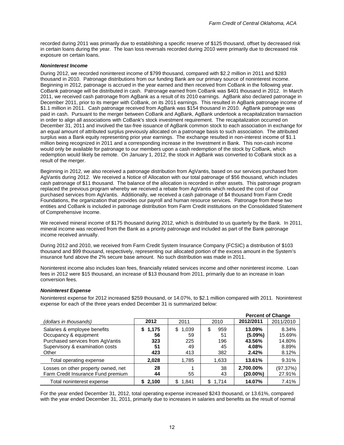recorded during 2011 was primarily due to establishing a specific reserve of \$125 thousand, offset by decreased risk in certain loans during the year. The loan loss reversals recorded during 2010 were primarily due to decreased risk exposure on certain loans.

### *Noninterest Income*

During 2012, we recorded noninterest income of \$799 thousand, compared with \$2.2 million in 2011 and \$283 thousand in 2010. Patronage distributions from our funding Bank are our primary source of noninterest income. Beginning in 2012, patronage is accrued in the year earned and then received from CoBank in the following year. CoBank patronage will be distributed in cash. Patronage earned from CoBank was \$401 thousand in 2012. In March 2011, we received cash patronage from AgBank as a result of its 2010 earnings. AgBank also declared patronage in December 2011, prior to its merger with CoBank, on its 2011 earnings. This resulted in AgBank patronage income of \$1.1 million in 2011. Cash patronage received from AgBank was \$154 thousand in 2010. AgBank patronage was paid in cash. Pursuant to the merger between CoBank and AgBank, AgBank undertook a recapitalization transaction in order to align all associations with CoBank's stock investment requirement. The recapitalization occurred on December 31, 2011 and involved the tax-free issuance of AgBank common stock to each association in exchange for an equal amount of attributed surplus previously allocated on a patronage basis to such association. The attributed surplus was a Bank equity representing prior year earnings. The exchange resulted in non-interest income of \$1.1 million being recognized in 2011 and a corresponding increase in the Investment in Bank. This non-cash income would only be available for patronage to our members upon a cash redemption of the stock by CoBank, which redemption would likely be remote. On January 1, 2012, the stock in AgBank was converted to CoBank stock as a result of the merger.

Beginning in 2012, we also received a patronage distribution from AgVantis, based on our services purchased from AgVantis during 2012. We received a Notice of Allocation with our total patronage of \$56 thousand, which includes cash patronage of \$11 thousand. The balance of the allocation is recorded in other assets. This patronage program replaced the previous program whereby we received a rebate from AgVantis which reduced the cost of our purchased services from AgVantis. Additionally, we received a cash patronage of \$4 thousand from Farm Credit Foundations, the organization that provides our payroll and human resource services. Patronage from these two entities and CoBank is included in patronage distribution from Farm Credit institutions on the Consolidated Statement of Comprehensive Income.

We received mineral income of \$175 thousand during 2012, which is distributed to us quarterly by the Bank. In 2011, mineral income was received from the Bank as a priority patronage and included as part of the Bank patronage income received annually.

During 2012 and 2010, we received from Farm Credit System Insurance Company (FCSIC) a distribution of \$103 thousand and \$99 thousand, respectively, representing our allocated portion of the excess amount in the System's insurance fund above the 2% secure base amount. No such distribution was made in 2011.

Noninterest income also includes loan fees, financially related services income and other noninterest income. Loan fees in 2012 were \$15 thousand, an increase of \$13 thousand from 2011, primarily due to an increase in loan conversion fees.

### *Noninterest Expense*

Noninterest expense for 2012 increased \$259 thousand, or 14.07%, to \$2.1 million compared with 2011. Noninterest expense for each of the three years ended December 31 is summarized below:

|                                                                                                                                       |                                      |                                       |                                     |                                                  | <b>Percent of Change</b>                    |
|---------------------------------------------------------------------------------------------------------------------------------------|--------------------------------------|---------------------------------------|-------------------------------------|--------------------------------------------------|---------------------------------------------|
| (dollars in thousands)                                                                                                                | 2012                                 | 2011                                  | 2010                                | 2012/2011                                        | 2011/2010                                   |
| Salaries & employee benefits<br>Occupancy & equipment<br>Purchased services from AgVantis<br>Supervisory & examination costs<br>Other | 1,175<br>S<br>56<br>323<br>51<br>423 | 1,039<br>\$<br>59<br>225<br>49<br>413 | 959<br>\$<br>51<br>196<br>45<br>382 | 13.09%<br>$(5.09\%)$<br>43.56%<br>4.08%<br>2.42% | 8.34%<br>15.69%<br>14.80%<br>8.89%<br>8.12% |
| Total operating expense                                                                                                               | 2.028                                | 1.785                                 | 1,633                               | 13.61%                                           | 9.31%                                       |
| Losses on other property owned, net<br>Farm Credit Insurance Fund premium                                                             | 28<br>44                             | 55                                    | 38<br>43                            | 2,700.00%<br>$(20.00\%)$                         | (97.37%)<br>27.91%                          |
| Total noninterest expense                                                                                                             | 2.100                                | 1.841<br>\$.                          | 1.714                               | 14.07%                                           | 7.41%                                       |

For the year ended December 31, 2012, total operating expense increased \$243 thousand, or 13.61%, compared with the year ended December 31, 2011, primarily due to increases in salaries and benefits as the result of normal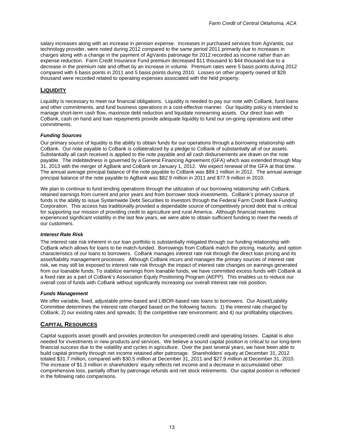salary increases along with an increase in pension expense. Increases in purchased services from AgVantis, our technology provider, were noted during 2012 compared to the same period 2011 primarily due to increases in charges along with a change in the payment of AgVantis patronage for 2012 recorded as income rather than an expense reduction. Farm Credit Insurance Fund premium decreased \$11 thousand to \$44 thousand due to a decrease in the premium rate and offset by an increase in volume. Premium rates were 5 basis points during 2012 compared with 6 basis points in 2011 and 5 basis points during 2010. Losses on other property owned of \$28 thousand were recorded related to operating expenses associated with the held property.

### **LIQUIDITY**

Liquidity is necessary to meet our financial obligations. Liquidity is needed to pay our note with CoBank, fund loans and other commitments, and fund business operations in a cost-effective manner. Our liquidity policy is intended to manage short-term cash flow, maximize debt reduction and liquidate nonearning assets. Our direct loan with CoBank, cash on hand and loan repayments provide adequate liquidity to fund our on-going operations and other commitments.

### *Funding Sources*

Our primary source of liquidity is the ability to obtain funds for our operations through a borrowing relationship with CoBank. Our note payable to CoBank is collateralized by a pledge to CoBank of substantially all of our assets. Substantially all cash received is applied to the note payable and all cash disbursements are drawn on the note payable. The indebtedness is governed by a General Financing Agreement (GFA) which was extended through May 31, 2013 with the merger of AgBank and CoBank on January 1, 2012. We expect renewal of the GFA at that time. The annual average principal balance of the note payable to CoBank was \$89.1 million in 2012. The annual average principal balance of the note payable to AgBank was \$82.9 million in 2011 and \$77.9 million in 2010.

We plan to continue to fund lending operations through the utilization of our borrowing relationship with CoBank, retained earnings from current and prior years and from borrower stock investments. CoBank's primary source of funds is the ability to issue Systemwide Debt Securities to investors through the Federal Farm Credit Bank Funding Corporation. This access has traditionally provided a dependable source of competitively priced debt that is critical for supporting our mission of providing credit to agriculture and rural America. Although financial markets experienced significant volatility in the last few years, we were able to obtain sufficient funding to meet the needs of our customers.

### *Interest Rate Risk*

The interest rate risk inherent in our loan portfolio is substantially mitigated through our funding relationship with CoBank which allows for loans to be match-funded. Borrowings from CoBank match the pricing, maturity, and option characteristics of our loans to borrowers. CoBank manages interest rate risk through the direct loan pricing and its asset/liability management processes. Although CoBank incurs and manages the primary sources of interest rate risk, we may still be exposed to interest rate risk through the impact of interest rate changes on earnings generated from our loanable funds. To stabilize earnings from loanable funds, we have committed excess funds with CoBank at a fixed rate as a part of CoBank's Association Equity Positioning Program (AEPP). This enables us to reduce our overall cost of funds with CoBank without significantly increasing our overall interest rate risk position.

### *Funds Management*

We offer variable, fixed, adjustable prime-based and LIBOR-based rate loans to borrowers. Our Asset/Liability Committee determines the interest rate charged based on the following factors: 1) the interest rate charged by CoBank; 2) our existing rates and spreads; 3) the competitive rate environment; and 4) our profitability objectives.

### **CAPITAL RESOURCES**

Capital supports asset growth and provides protection for unexpected credit and operating losses. Capital is also needed for investments in new products and services. We believe a sound capital position is critical to our long-term financial success due to the volatility and cycles in agriculture. Over the past several years, we have been able to build capital primarily through net income retained after patronage. Shareholders' equity at December 31, 2012 totaled \$31.7 million, compared with \$30.5 million at December 31, 2011 and \$27.9 million at December 31, 2010. The increase of \$1.3 million in shareholders' equity reflects net income and a decrease in accumulated other comprehensive loss, partially offset by patronage refunds and net stock retirements. Our capital position is reflected in the following ratio comparisons.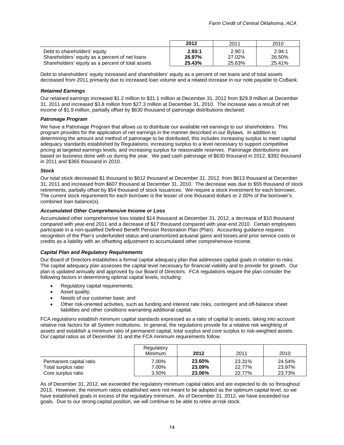|                                                   | 2012   | 2011   | 2010   |
|---------------------------------------------------|--------|--------|--------|
| Debt to shareholders' equity                      | 2.93:1 | 2.90:1 | 2.94:1 |
| Shareholders' equity as a percent of net loans    | 26.97% | 27.02% | 26.50% |
| Shareholders' equity as a percent of total assets | 25.43% | 25.63% | 25.41% |

Debt to shareholders' equity increased and shareholders' equity as a percent of net loans and of total assets decreased from 2011 primarily due to increased loan volume and a related increase in our note payable to CoBank.

### *Retained Earnings*

Our retained earnings increased \$1.2 million to \$31.1 million at December 31, 2012 from \$29.9 million at December 31, 2011 and increased \$3.8 million from \$27.3 million at December 31, 2010. The increase was a result of net income of \$1.9 million, partially offset by \$630 thousand of patronage distributions declared.

### *Patronage Program*

We have a Patronage Program that allows us to distribute our available net earnings to our shareholders. This program provides for the application of net earnings in the manner described in our Bylaws. In addition to determining the amount and method of patronage to be distributed, this includes increasing surplus to meet capital adequacy standards established by Regulations; increasing surplus to a level necessary to support competitive pricing at targeted earnings levels; and increasing surplus for reasonable reserves. Patronage distributions are based on business done with us during the year. We paid cash patronage of \$630 thousand in 2012, \$392 thousand in 2011 and \$365 thousand in 2010.

### *Stock*

Our total stock decreased \$1 thousand to \$612 thousand at December 31, 2012, from \$613 thousand at December 31, 2011 and increased from \$607 thousand at December 31, 2010. The decrease was due to \$55 thousand of stock retirements, partially offset by \$54 thousand of stock issuances. We require a stock investment for each borrower**.** The current stock requirement for each borrower is the lesser of one thousand dollars or 2.00% of the borrower's combined loan balance(s).

### *Accumulated Other Comprehensive Income or Loss*

Accumulated other comprehensive loss totaled \$14 thousand at December 31, 2012, a decrease of \$10 thousand compared with year-end 2011 and a decrease of \$17 thousand compared with year-end 2010. Certain employees participate in a non-qualified Defined Benefit Pension Restoration Plan (Plan). Accounting guidance requires recognition of the Plan's underfunded status and unamortized actuarial gains and losses and prior service costs or credits as a liability with an offsetting adjustment to accumulated other comprehensive income.

### *Capital Plan and Regulatory Requirements*

Our Board of Directors establishes a formal capital adequacy plan that addresses capital goals in relation to risks. The capital adequacy plan assesses the capital level necessary for financial viability and to provide for growth. Our plan is updated annually and approved by our Board of Directors. FCA regulations require the plan consider the following factors in determining optimal capital levels, including:

- Regulatory capital requirements;
- Asset quality;
- Needs of our customer base; and
- Other risk-oriented activities, such as funding and interest rate risks, contingent and off-balance sheet liabilities and other conditions warranting additional capital.

FCA regulations establish minimum capital standards expressed as a ratio of capital to assets, taking into account relative risk factors for all System institutions. In general, the regulations provide for a relative risk weighting of assets and establish a minimum ratio of permanent capital, total surplus and core surplus to risk-weighted assets. Our capital ratios as of December 31 and the FCA minimum requirements follow.

|                                                | Regulatory<br><b>Minimum</b> | 2012             | 2011             | 2010             |
|------------------------------------------------|------------------------------|------------------|------------------|------------------|
| Permanent capital ratio<br>Total surplus ratio | 7.00%<br>7.00%               | 23.60%<br>23.09% | 23.31%<br>22.77% | 24.54%<br>23.97% |
| Core surplus ratio                             | 3.50%                        | 23.06%           | 22.77%           | 23.73%           |

As of December 31, 2012, we exceeded the regulatory minimum capital ratios and are expected to do so throughout 2013. However, the minimum ratios established were not meant to be adopted as the optimum capital level, so we have established goals in excess of the regulatory minimum. As of December 31, 2012, we have exceeded our goals. Due to our strong capital position, we will continue to be able to retire at-risk stock.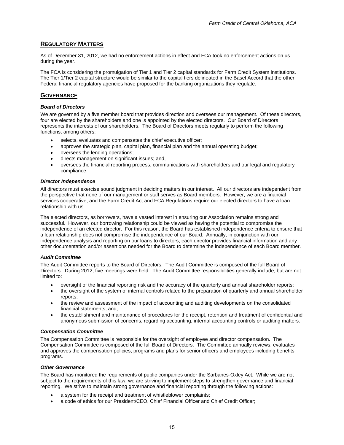### **REGULATORY MATTERS**

As of December 31, 2012, we had no enforcement actions in effect and FCA took no enforcement actions on us during the year.

The FCA is considering the promulgation of Tier 1 and Tier 2 capital standards for Farm Credit System institutions. The Tier 1/Tier 2 capital structure would be similar to the capital tiers delineated in the Basel Accord that the other Federal financial regulatory agencies have proposed for the banking organizations they regulate.

### **GOVERNANCE**

### *Board of Directors*

We are governed by a five member board that provides direction and oversees our management. Of these directors, four are elected by the shareholders and one is appointed by the elected directors. Our Board of Directors represents the interests of our shareholders. The Board of Directors meets regularly to perform the following functions, among others:

- selects, evaluates and compensates the chief executive officer;
- approves the strategic plan, capital plan, financial plan and the annual operating budget;
- oversees the lending operations;
- directs management on significant issues; and,
- oversees the financial reporting process, communications with shareholders and our legal and regulatory compliance.

#### *Director Independence*

All directors must exercise sound judgment in deciding matters in our interest. All our directors are independent from the perspective that none of our management or staff serves as Board members. However, we are a financial services cooperative, and the Farm Credit Act and FCA Regulations require our elected directors to have a loan relationship with us.

The elected directors, as borrowers, have a vested interest in ensuring our Association remains strong and successful. However, our borrowing relationship could be viewed as having the potential to compromise the independence of an elected director. For this reason, the Board has established independence criteria to ensure that a loan relationship does not compromise the independence of our Board. Annually, in conjunction with our independence analysis and reporting on our loans to directors, each director provides financial information and any other documentation and/or assertions needed for the Board to determine the independence of each Board member.

### *Audit Committee*

The Audit Committee reports to the Board of Directors. The Audit Committee is composed of the full Board of Directors. During 2012, five meetings were held. The Audit Committee responsibilities generally include, but are not limited to:

- oversight of the financial reporting risk and the accuracy of the quarterly and annual shareholder reports;
- the oversight of the system of internal controls related to the preparation of quarterly and annual shareholder reports;
- the review and assessment of the impact of accounting and auditing developments on the consolidated financial statements; and,
- the establishment and maintenance of procedures for the receipt, retention and treatment of confidential and anonymous submission of concerns, regarding accounting, internal accounting controls or auditing matters.

#### *Compensation Committee*

The Compensation Committee is responsible for the oversight of employee and director compensation. The Compensation Committee is composed of the full Board of Directors. The Committee annually reviews, evaluates and approves the compensation policies, programs and plans for senior officers and employees including benefits programs.

### *Other Governance*

The Board has monitored the requirements of public companies under the Sarbanes-Oxley Act. While we are not subject to the requirements of this law, we are striving to implement steps to strengthen governance and financial reporting. We strive to maintain strong governance and financial reporting through the following actions:

- a system for the receipt and treatment of whistleblower complaints;
- a code of ethics for our President/CEO, Chief Financial Officer and Chief Credit Officer;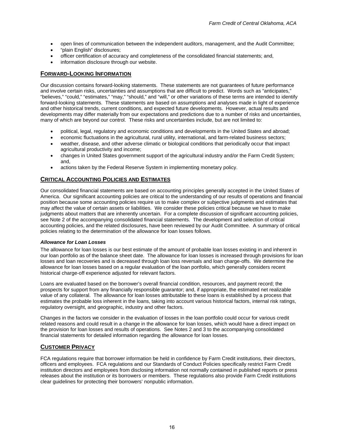- open lines of communication between the independent auditors, management, and the Audit Committee;
- "plain English" disclosures;
- officer certification of accuracy and completeness of the consolidated financial statements; and,
- information disclosure through our website.

### **FORWARD-LOOKING INFORMATION**

Our discussion contains forward-looking statements. These statements are not guarantees of future performance and involve certain risks, uncertainties and assumptions that are difficult to predict. Words such as "anticipates," "believes," "could," "estimates," "may," "should," and "will," or other variations of these terms are intended to identify forward-looking statements. These statements are based on assumptions and analyses made in light of experience and other historical trends, current conditions, and expected future developments. However, actual results and developments may differ materially from our expectations and predictions due to a number of risks and uncertainties, many of which are beyond our control. These risks and uncertainties include, but are not limited to:

- political, legal, regulatory and economic conditions and developments in the United States and abroad;
- economic fluctuations in the agricultural, rural utility, international, and farm-related business sectors;
- weather, disease, and other adverse climatic or biological conditions that periodically occur that impact agricultural productivity and income;
- changes in United States government support of the agricultural industry and/or the Farm Credit System; and,
- actions taken by the Federal Reserve System in implementing monetary policy.

### **CRITICAL ACCOUNTING POLICIES AND ESTIMATES**

Our consolidated financial statements are based on accounting principles generally accepted in the United States of America. Our significant accounting policies are critical to the understanding of our results of operations and financial position because some accounting policies require us to make complex or subjective judgments and estimates that may affect the value of certain assets or liabilities. We consider these policies critical because we have to make judgments about matters that are inherently uncertain. For a complete discussion of significant accounting policies, see Note 2 of the accompanying consolidated financial statements. The development and selection of critical accounting policies, and the related disclosures, have been reviewed by our Audit Committee. A summary of critical policies relating to the determination of the allowance for loan losses follows.

### *Allowance for Loan Losses*

The allowance for loan losses is our best estimate of the amount of probable loan losses existing in and inherent in our loan portfolio as of the balance sheet date. The allowance for loan losses is increased through provisions for loan losses and loan recoveries and is decreased through loan loss reversals and loan charge-offs. We determine the allowance for loan losses based on a regular evaluation of the loan portfolio, which generally considers recent historical charge-off experience adjusted for relevant factors.

Loans are evaluated based on the borrower's overall financial condition, resources, and payment record; the prospects for support from any financially responsible guarantor; and, if appropriate, the estimated net realizable value of any collateral. The allowance for loan losses attributable to these loans is established by a process that estimates the probable loss inherent in the loans, taking into account various historical factors, internal risk ratings, regulatory oversight, and geographic, industry and other factors.

Changes in the factors we consider in the evaluation of losses in the loan portfolio could occur for various credit related reasons and could result in a change in the allowance for loan losses, which would have a direct impact on the provision for loan losses and results of operations. See Notes 2 and 3 to the accompanying consolidated financial statements for detailed information regarding the allowance for loan losses.

### **CUSTOMER PRIVACY**

FCA regulations require that borrower information be held in confidence by Farm Credit institutions, their directors, officers and employees. FCA regulations and our Standards of Conduct Policies specifically restrict Farm Credit institution directors and employees from disclosing information not normally contained in published reports or press releases about the institution or its borrowers or members. These regulations also provide Farm Credit institutions clear guidelines for protecting their borrowers' nonpublic information.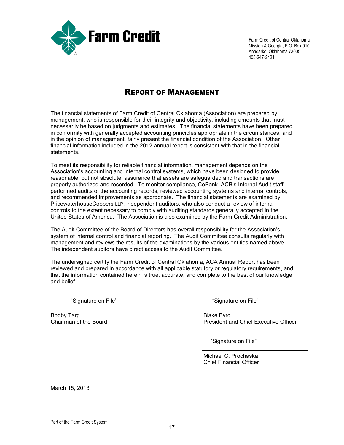

Farm Credit of Central Oklahoma Mission & Georgia, P.O. Box 910 Anadarko, Oklahoma 73005 405-247-2421

## REPORT OF MANAGEMENT

The financial statements of Farm Credit of Central Oklahoma (Association) are prepared by management, who is responsible for their integrity and objectivity, including amounts that must necessarily be based on judgments and estimates. The financial statements have been prepared in conformity with generally accepted accounting principles appropriate in the circumstances, and in the opinion of management, fairly present the financial condition of the Association. Other financial information included in the 2012 annual report is consistent with that in the financial statements.

To meet its responsibility for reliable financial information, management depends on the Association's accounting and internal control systems, which have been designed to provide reasonable, but not absolute, assurance that assets are safeguarded and transactions are properly authorized and recorded. To monitor compliance, CoBank, ACB's Internal Audit staff performed audits of the accounting records, reviewed accounting systems and internal controls, and recommended improvements as appropriate. The financial statements are examined by PricewaterhouseCoopers LLP, independent auditors, who also conduct a review of internal controls to the extent necessary to comply with auditing standards generally accepted in the United States of America. The Association is also examined by the Farm Credit Administration.

The Audit Committee of the Board of Directors has overall responsibility for the Association's system of internal control and financial reporting. The Audit Committee consults regularly with management and reviews the results of the examinations by the various entities named above. The independent auditors have direct access to the Audit Committee.

The undersigned certify the Farm Credit of Central Oklahoma, ACA Annual Report has been reviewed and prepared in accordance with all applicable statutory or regulatory requirements, and that the information contained herein is true, accurate, and complete to the best of our knowledge and belief.

\_\_\_\_\_\_\_\_\_\_\_\_\_\_\_\_\_\_\_\_\_\_\_\_\_\_\_\_\_\_\_\_\_\_\_ \_\_\_\_\_\_\_\_\_\_\_\_\_\_\_\_\_\_\_\_\_\_\_\_\_\_\_\_\_\_\_\_\_\_

Bobby Tarp discussed by Tarp Blake Byrd<br>
Chairman of the Board discussed by The Board Chairman of the Board discussed by The Board Discussed by The B

"Signature on File' "Signature on File"

President and Chief Executive Officer

"Signature on File"

Michael C. Prochaska Chief Financial Officer

March 15, 2013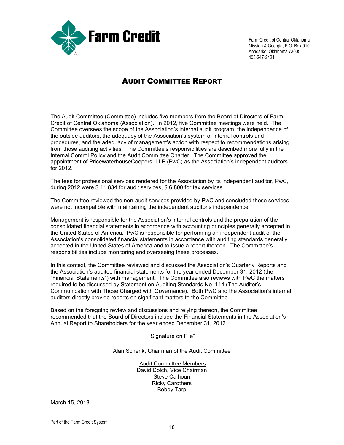

Farm Credit of Central Oklahoma Mission & Georgia, P.O. Box 910 Anadarko, Oklahoma 73005 405-247-2421

## AUDIT COMMITTEE REPORT

The Audit Committee (Committee) includes five members from the Board of Directors of Farm Credit of Central Oklahoma (Association). In 2012, five Committee meetings were held. The Committee oversees the scope of the Association's internal audit program, the independence of the outside auditors, the adequacy of the Association's system of internal controls and procedures, and the adequacy of management's action with respect to recommendations arising from those auditing activities. The Committee's responsibilities are described more fully in the Internal Control Policy and the Audit Committee Charter. The Committee approved the appointment of PricewaterhouseCoopers, LLP (PwC) as the Association's independent auditors for 2012.

The fees for professional services rendered for the Association by its independent auditor, PwC, during 2012 were \$ 11,834 for audit services, \$ 6,800 for tax services.

The Committee reviewed the non-audit services provided by PwC and concluded these services were not incompatible with maintaining the independent auditor's independence.

Management is responsible for the Association's internal controls and the preparation of the consolidated financial statements in accordance with accounting principles generally accepted in the United States of America. PwC is responsible for performing an independent audit of the Association's consolidated financial statements in accordance with auditing standards generally accepted in the United States of America and to issue a report thereon. The Committee's responsibilities include monitoring and overseeing these processes.

In this context, the Committee reviewed and discussed the Association's Quarterly Reports and the Association's audited financial statements for the year ended December 31, 2012 (the "Financial Statements") with management.The Committee also reviews with PwC the matters required to be discussed by Statement on Auditing Standards No. 114 (The Auditor's Communication with Those Charged with Governance). Both PwC and the Association's internal auditors directly provide reports on significant matters to the Committee.

Based on the foregoing review and discussions and relying thereon, the Committee recommended that the Board of Directors include the Financial Statements in the Association's Annual Report to Shareholders for the year ended December 31, 2012.

"Signature on File"

Alan Schenk, Chairman of the Audit Committee

Audit Committee Members David Dolch, Vice Chairman Steve Calhoun Ricky Carothers Bobby Tarp

March 15, 2013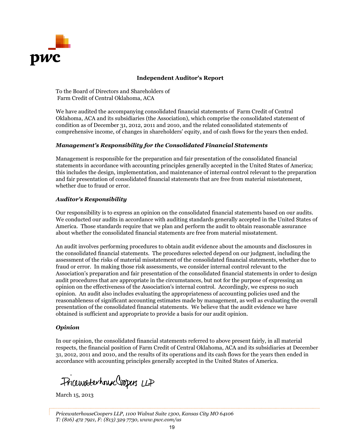

### **Independent Auditor's Report**

To the Board of Directors and Shareholders of Farm Credit of Central Oklahoma, ACA

We have audited the accompanying consolidated financial statements of Farm Credit of Central Oklahoma, ACA and its subsidiaries (the Association), which comprise the consolidated statement of condition as of December 31, 2012, 2011 and 2010, and the related consolidated statements of comprehensive income, of changes in shareholders' equity, and of cash flows for the years then ended.

### *Management's Responsibility for the Consolidated Financial Statements*

Management is responsible for the preparation and fair presentation of the consolidated financial statements in accordance with accounting principles generally accepted in the United States of America; this includes the design, implementation, and maintenance of internal control relevant to the preparation and fair presentation of consolidated financial statements that are free from material misstatement, whether due to fraud or error.

### *Auditor's Responsibility*

Our responsibility is to express an opinion on the consolidated financial statements based on our audits. We conducted our audits in accordance with auditing standards generally accepted in the United States of America. Those standards require that we plan and perform the audit to obtain reasonable assurance about whether the consolidated financial statements are free from material misstatement.

An audit involves performing procedures to obtain audit evidence about the amounts and disclosures in the consolidated financial statements. The procedures selected depend on our judgment, including the assessment of the risks of material misstatement of the consolidated financial statements, whether due to fraud or error. In making those risk assessments, we consider internal control relevant to the Association's preparation and fair presentation of the consolidated financial statements in order to design audit procedures that are appropriate in the circumstances, but not for the purpose of expressing an opinion on the effectiveness of the Association's internal control. Accordingly, we express no such opinion. An audit also includes evaluating the appropriateness of accounting policies used and the reasonableness of significant accounting estimates made by management, as well as evaluating the overall presentation of the consolidated financial statements. We believe that the audit evidence we have obtained is sufficient and appropriate to provide a basis for our audit opinion.

### *Opinion*

In our opinion, the consolidated financial statements referred to above present fairly, in all material respects, the financial position of Farm Credit of Central Oklahoma, ACA and its subsidiaries at December 31, 2012, 2011 and 2010, and the results of its operations and its cash flows for the years then ended in accordance with accounting principles generally accepted in the United States of America.

Pricewaterhouse Coopers LLP

March 15, 2013

*PricewaterhouseCoopers LLP, 1100 Walnut Suite 1300, Kansas City MO 64106 T: (816) 472 7921, F: (813) 329 7730, www.pwc.com/us*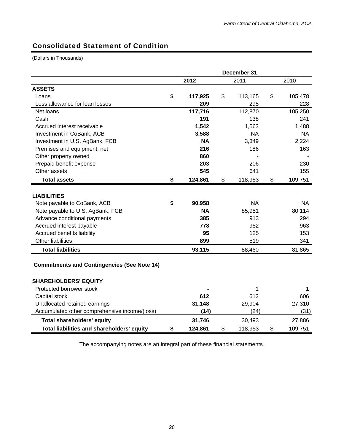## Consolidated Statement of Condition

(Dollars in Thousands)

|                                                    |               | December 31 |           |    |           |  |
|----------------------------------------------------|---------------|-------------|-----------|----|-----------|--|
|                                                    | 2012          |             | 2011      |    | 2010      |  |
| <b>ASSETS</b>                                      |               |             |           |    |           |  |
| Loans                                              | \$<br>117,925 | \$          | 113,165   | \$ | 105,478   |  |
| Less allowance for loan losses                     | 209           |             | 295       |    | 228       |  |
| Net loans                                          | 117,716       |             | 112,870   |    | 105,250   |  |
| Cash                                               | 191           |             | 138       |    | 241       |  |
| Accrued interest receivable                        | 1,542         |             | 1,563     |    | 1,488     |  |
| Investment in CoBank, ACB                          | 3,588         |             | <b>NA</b> |    | <b>NA</b> |  |
| Investment in U.S. AgBank, FCB                     | <b>NA</b>     |             | 3,349     |    | 2,224     |  |
| Premises and equipment, net                        | 216           |             | 186       |    | 163       |  |
| Other property owned                               | 860           |             |           |    |           |  |
| Prepaid benefit expense                            | 203           |             | 206       |    | 230       |  |
| Other assets                                       | 545           |             | 641       |    | 155       |  |
| <b>Total assets</b>                                | \$<br>124,861 | \$          | 118,953   | \$ | 109,751   |  |
|                                                    |               |             |           |    |           |  |
| <b>LIABILITIES</b>                                 |               |             |           |    |           |  |
| Note payable to CoBank, ACB                        | \$<br>90,958  |             | <b>NA</b> |    | <b>NA</b> |  |
| Note payable to U.S. AgBank, FCB                   | <b>NA</b>     |             | 85,951    |    | 80,114    |  |
| Advance conditional payments                       | 385           |             | 913       |    | 294       |  |
| Accrued interest payable                           | 778           |             | 952       |    | 963       |  |
| Accrued benefits liability                         | 95            |             | 125       |    | 153       |  |
| Other liabilities                                  | 899           |             | 519       |    | 341       |  |
| <b>Total liabilities</b>                           | 93,115        |             | 88,460    |    | 81,865    |  |
| <b>Commitments and Contingencies (See Note 14)</b> |               |             |           |    |           |  |
| <b>SHAREHOLDERS' EQUITY</b>                        |               |             |           |    |           |  |
| Protected borrower stock                           |               |             | 1         |    | 1         |  |
| Capital stock                                      | 612           |             | 612       |    | 606       |  |
| Unallocated retained earnings                      | 31,148        |             | 29,904    |    | 27,310    |  |
| Accumulated other comprehensive income/(loss)      | (14)          |             | (24)      |    | (31)      |  |
| <b>Total shareholders' equity</b>                  | 31,746        |             | 30,493    |    | 27,886    |  |
| Total liabilities and shareholders' equity         | \$<br>124,861 | \$          | 118,953   | \$ | 109,751   |  |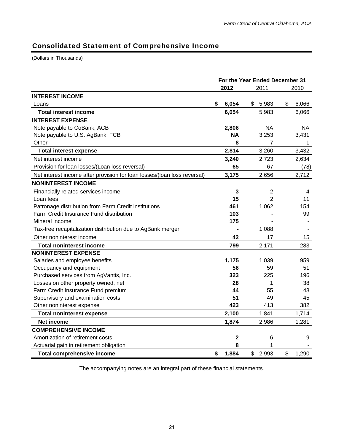## Consolidated Statement of Comprehensive Income

(Dollars in Thousands)

|                                                                          | For the Year Ended December 31 |             |                |    |       |  |
|--------------------------------------------------------------------------|--------------------------------|-------------|----------------|----|-------|--|
|                                                                          |                                | 2012        | 2011           |    | 2010  |  |
| <b>INTEREST INCOME</b>                                                   |                                |             |                |    |       |  |
| Loans                                                                    | \$                             | 6,054       | \$5,983        | \$ | 6,066 |  |
| <b>Total interest income</b>                                             |                                | 6,054       | 5,983          |    | 6,066 |  |
| <b>INTEREST EXPENSE</b>                                                  |                                |             |                |    |       |  |
| Note payable to CoBank, ACB                                              |                                | 2,806       | NA.            |    | NA.   |  |
| Note payable to U.S. AgBank, FCB                                         |                                | <b>NA</b>   | 3,253          |    | 3,431 |  |
| Other                                                                    |                                | 8           | $\overline{7}$ |    | 1     |  |
| <b>Total interest expense</b>                                            |                                | 2,814       | 3,260          |    | 3,432 |  |
| Net interest income                                                      |                                | 3,240       | 2,723          |    | 2,634 |  |
| Provision for loan losses/(Loan loss reversal)                           |                                | 65          | 67             |    | (78)  |  |
| Net interest income after provision for loan losses/(loan loss reversal) |                                | 3,175       | 2,656          |    | 2,712 |  |
| <b>NONINTEREST INCOME</b>                                                |                                |             |                |    |       |  |
| Financially related services income                                      |                                | 3           | $\overline{2}$ |    | 4     |  |
| Loan fees                                                                |                                | 15          | $\overline{2}$ |    | 11    |  |
| Patronage distribution from Farm Credit institutions                     |                                | 461         | 1,062          |    | 154   |  |
| Farm Credit Insurance Fund distribution                                  |                                | 103         |                |    | 99    |  |
| Mineral income                                                           |                                | 175         |                |    |       |  |
| Tax-free recapitalization distribution due to AgBank merger              |                                |             | 1,088          |    |       |  |
| Other noninterest income                                                 |                                | 42          | 17             |    | 15    |  |
| <b>Total noninterest income</b>                                          |                                | 799         | 2,171          |    | 283   |  |
| <b>NONINTEREST EXPENSE</b>                                               |                                |             |                |    |       |  |
| Salaries and employee benefits                                           |                                | 1,175       | 1,039          |    | 959   |  |
| Occupancy and equipment                                                  |                                | 56          | 59             |    | 51    |  |
| Purchased services from AgVantis, Inc.                                   |                                | 323         | 225            |    | 196   |  |
| Losses on other property owned, net                                      |                                | 28          | 1              |    | 38    |  |
| Farm Credit Insurance Fund premium                                       |                                | 44          | 55             |    | 43    |  |
| Supervisory and examination costs                                        |                                | 51          | 49             |    | 45    |  |
| Other noninterest expense                                                |                                | 423         | 413            |    | 382   |  |
| <b>Total noninterest expense</b>                                         |                                | 2,100       | 1,841          |    | 1,714 |  |
| Net income                                                               |                                | 1,874       | 2,986          |    | 1,281 |  |
| <b>COMPREHENSIVE INCOME</b>                                              |                                |             |                |    |       |  |
| Amortization of retirement costs                                         |                                | $\mathbf 2$ | 6              |    | 9     |  |
| Actuarial gain in retirement obligation                                  |                                | 8           | 1              |    |       |  |
| <b>Total comprehensive income</b>                                        | \$                             | 1,884       | \$<br>2,993    | \$ | 1,290 |  |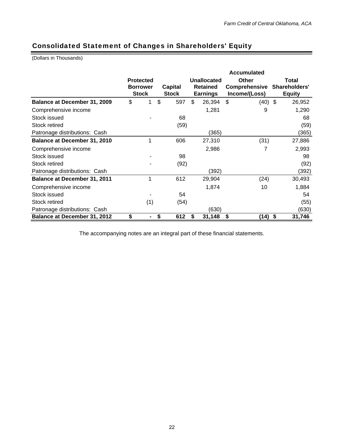## Consolidated Statement of Changes in Shareholders' Equity

(Dollars in Thousands)

|                                     |                                 |                  |                         |      | <b>Accumulated</b>                 |             |                                |           |       |                                |  |
|-------------------------------------|---------------------------------|------------------|-------------------------|------|------------------------------------|-------------|--------------------------------|-----------|-------|--------------------------------|--|
|                                     |                                 | <b>Protected</b> |                         |      |                                    | Unallocated | Other                          |           | Total |                                |  |
|                                     | <b>Borrower</b><br><b>Stock</b> |                  | Capital<br><b>Stock</b> |      | <b>Retained</b><br><b>Earnings</b> |             | Comprehensive<br>Income/(Loss) |           |       | Shareholders'<br><b>Equity</b> |  |
| Balance at December 31, 2009        | \$                              | 1                | \$                      | 597  | \$                                 | 26,394      | \$                             | $(40)$ \$ |       | 26,952                         |  |
| Comprehensive income                |                                 |                  |                         |      |                                    | 1,281       |                                | 9         |       | 1,290                          |  |
| Stock issued                        |                                 |                  |                         | 68   |                                    |             |                                |           |       | 68                             |  |
| Stock retired                       |                                 |                  |                         | (59) |                                    |             |                                |           |       | (59)                           |  |
| Patronage distributions: Cash       |                                 |                  |                         |      |                                    | (365)       |                                |           |       | (365)                          |  |
| <b>Balance at December 31, 2010</b> |                                 | 1                |                         | 606  |                                    | 27,310      |                                | (31)      |       | 27,886                         |  |
| Comprehensive income                |                                 |                  |                         |      |                                    | 2,986       |                                | 7         |       | 2,993                          |  |
| Stock issued                        |                                 |                  |                         | 98   |                                    |             |                                |           |       | 98                             |  |
| Stock retired                       |                                 |                  |                         | (92) |                                    |             |                                |           |       | (92)                           |  |
| Patronage distributions: Cash       |                                 |                  |                         |      |                                    | (392)       |                                |           |       | (392)                          |  |
| <b>Balance at December 31, 2011</b> |                                 | 1                |                         | 612  |                                    | 29,904      |                                | (24)      |       | 30,493                         |  |
| Comprehensive income                |                                 |                  |                         |      |                                    | 1,874       |                                | 10        |       | 1,884                          |  |
| Stock issued                        |                                 |                  |                         | 54   |                                    |             |                                |           |       | 54                             |  |
| Stock retired                       |                                 | (1)              |                         | (54) |                                    |             |                                |           |       | (55)                           |  |
| Patronage distributions: Cash       |                                 |                  |                         |      |                                    | (630)       |                                |           |       | (630)                          |  |
| <b>Balance at December 31, 2012</b> | \$                              |                  | \$                      | 612  | S                                  | 31,148      | \$                             | (14) \$   |       | 31,746                         |  |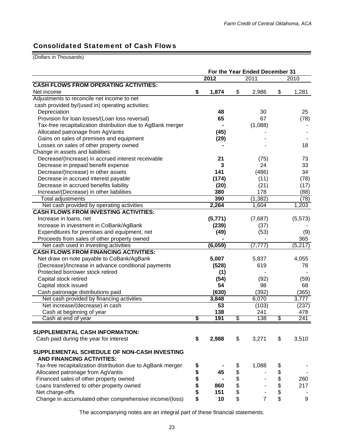## Consolidated Statement of Cash Flows

(Dollars in Thousands)

|                                                             |          | For the Year Ended December 31 |    |            |     |          |
|-------------------------------------------------------------|----------|--------------------------------|----|------------|-----|----------|
|                                                             |          | 2012                           |    | 2011       |     | 2010     |
| <b>CASH FLOWS FROM OPERATING ACTIVITIES:</b>                |          |                                |    |            |     |          |
| Net income                                                  | \$       | 1,874                          | \$ | 2,986      | \$  | 1,281    |
| Adjustments to reconcile net income to net                  |          |                                |    |            |     |          |
| cash provided by/(used in) operating activities:            |          |                                |    |            |     |          |
| Depreciation                                                |          | 48                             |    | 30         |     | 25       |
| Provision for loan losses/(Loan loss reversal)              |          | 65                             |    | 67         |     | (78)     |
| Tax-free recapitalization distribution due to AgBank merger |          |                                |    | (1,088)    |     |          |
| Allocated patronage from AgVantis                           |          | (45)                           |    |            |     |          |
| Gains on sales of premises and equipment                    |          | (29)                           |    |            |     |          |
| Losses on sales of other property owned                     |          |                                |    |            |     | 18       |
| Change in assets and liabilities:                           |          |                                |    |            |     |          |
| Decrease/(Increase) in accrued interest receivable          |          | 21                             |    | (75)       |     | 73       |
| Decrease in prepaid benefit expense                         |          | 3                              |    | 24         |     | 33       |
| Decrease/(Increase) in other assets                         |          | 141                            |    | (486)      |     | 34       |
| Decrease in accrued interest payable                        |          | (174)                          |    | (11)       |     | (78)     |
| Decrease in accrued benefits liability                      |          | (20)                           |    | (21)       |     | (17)     |
| Increase/(Decrease) in other liabilities                    |          | 380                            |    | 178        |     | (88)     |
| Total adjustments                                           |          | 390                            |    | (1, 382)   |     | (78)     |
| Net cash provided by operating activities                   |          | 2,264                          |    | 1,604      |     | 1,203    |
| <b>CASH FLOWS FROM INVESTING ACTIVITIES:</b>                |          |                                |    |            |     |          |
| Increase in loans, net                                      |          | (5, 771)                       |    | (7,687)    |     | (5, 573) |
| Increase in investment in CoBank/AgBank                     |          | (239)                          |    | (37)       |     |          |
| Expenditures for premises and equipment, net                |          | (49)                           |    | (53)       |     | (9)      |
| Proceeds from sales of other property owned                 |          |                                |    |            |     | 365      |
| Net cash used in investing activities                       |          | (6,059)                        |    | (7, 777)   |     | (5,217)  |
| <b>CASH FLOWS FROM FINANCING ACTIVITIES:</b>                |          |                                |    |            |     |          |
| Net draw on note payable to CoBank/AgBank                   |          | 5,007                          |    | 5,837      |     | 4,055    |
| (Decrease)/Increase in advance conditional payments         |          | (528)                          |    | 619        |     | 78       |
| Protected borrower stock retired                            |          | (1)                            |    |            |     |          |
| Capital stock retired                                       |          | (54)                           |    | (92)       |     | (59)     |
| Capital stock issued                                        |          | 54                             |    | 98         |     | 68       |
| Cash patronage distributions paid                           |          | (630)                          |    | (392)      |     | (365)    |
| Net cash provided by financing activities                   |          | 3,848                          |    | 6,070      |     | 3,777    |
| Net increase/(decrease) in cash                             |          | 53                             |    | (103)      |     | (237)    |
| Cash at beginning of year                                   | S        | 138<br>191                     | \$ | 241<br>138 | \$. | 478      |
| Cash at end of year                                         |          |                                |    |            |     | 241      |
| SUPPLEMENTAL CASH INFORMATION:                              |          |                                |    |            |     |          |
| Cash paid during the year for interest                      |          |                                | \$ | 3,271      | \$  | 3,510    |
|                                                             | \$       | 2,988                          |    |            |     |          |
| SUPPLEMENTAL SCHEDULE OF NON-CASH INVESTING                 |          |                                |    |            |     |          |
| <b>AND FINANCING ACTIVITIES:</b>                            |          |                                |    |            |     |          |
| Tax-free recapitalization distribution due to AgBank merger | \$       |                                | \$ | 1,088      | \$  |          |
| Allocated patronage from AgVantis                           |          | 45                             | \$ |            | \$  |          |
| Financed sales of other property owned                      | \$<br>\$ |                                | \$ |            | \$  | 260      |
| Loans transferred to other property owned                   | \$       | 860                            | \$ |            | \$  | 217      |
| Net charge-offs                                             | \$       | 151                            | \$ |            | \$  |          |
| Change in accumulated other comprehensive income/(loss)     | \$       | 10                             | \$ | 7          | \$  | 9        |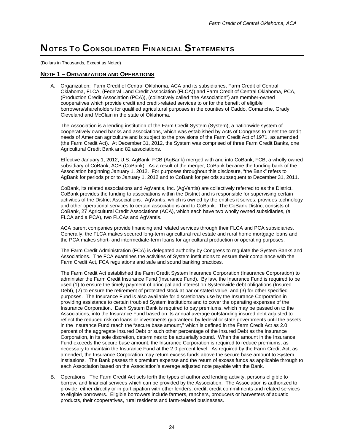## NOTES TO CONSOLIDATED FINANCIAL STATEMENTS

(Dollars in Thousands, Except as Noted)

### **NOTE 1 – ORGANIZATION AND OPERATIONS**

A. Organization: Farm Credit of Central Oklahoma, ACA and its subsidiaries, Farm Credit of Central Oklahoma, FLCA, (Federal Land Credit Association (FLCA)) and Farm Credit of Central Oklahoma, PCA, (Production Credit Association (PCA)), (collectively called "the Association") are member-owned cooperatives which provide credit and credit-related services to or for the benefit of eligible borrowers/shareholders for qualified agricultural purposes in the counties of Caddo, Comanche, Grady, Cleveland and McClain in the state of Oklahoma.

The Association is a lending institution of the Farm Credit System (System), a nationwide system of cooperatively owned banks and associations, which was established by Acts of Congress to meet the credit needs of American agriculture and is subject to the provisions of the Farm Credit Act of 1971, as amended (the Farm Credit Act). At December 31, 2012, the System was comprised of three Farm Credit Banks, one Agricultural Credit Bank and 82 associations.

Effective January 1, 2012, U.S. AgBank, FCB (AgBank) merged with and into CoBank, FCB, a wholly owned subsidiary of CoBank, ACB (CoBank). As a result of the merger, CoBank became the funding bank of the Association beginning January 1, 2012. For purposes throughout this disclosure, "the Bank" refers to AgBank for periods prior to January 1, 2012 and to CoBank for periods subsequent to December 31, 2011.

CoBank, its related associations and AgVantis, Inc. (AgVantis) are collectively referred to as the District. CoBank provides the funding to associations within the District and is responsible for supervising certain activities of the District Associations. AgVantis, which is owned by the entities it serves, provides technology and other operational services to certain associations and to CoBank. The CoBank District consists of CoBank, 27 Agricultural Credit Associations (ACA), which each have two wholly owned subsidiaries, (a FLCA and a PCA), two FLCAs and AgVantis.

ACA parent companies provide financing and related services through their FLCA and PCA subsidiaries. Generally, the FLCA makes secured long-term agricultural real estate and rural home mortgage loans and the PCA makes short- and intermediate-term loans for agricultural production or operating purposes.

The Farm Credit Administration (FCA) is delegated authority by Congress to regulate the System Banks and Associations. The FCA examines the activities of System institutions to ensure their compliance with the Farm Credit Act, FCA regulations and safe and sound banking practices.

The Farm Credit Act established the Farm Credit System Insurance Corporation (Insurance Corporation) to administer the Farm Credit Insurance Fund (Insurance Fund). By law, the Insurance Fund is required to be used (1) to ensure the timely payment of principal and interest on Systemwide debt obligations (Insured Debt), (2) to ensure the retirement of protected stock at par or stated value, and (3) for other specified purposes. The Insurance Fund is also available for discretionary use by the Insurance Corporation in providing assistance to certain troubled System institutions and to cover the operating expenses of the Insurance Corporation. Each System Bank is required to pay premiums, which may be passed on to the Associations, into the Insurance Fund based on its annual average outstanding insured debt adjusted to reflect the reduced risk on loans or investments guaranteed by federal or state governments until the assets in the Insurance Fund reach the "secure base amount," which is defined in the Farm Credit Act as 2.0 percent of the aggregate Insured Debt or such other percentage of the Insured Debt as the Insurance Corporation, in its sole discretion, determines to be actuarially sound. When the amount in the Insurance Fund exceeds the secure base amount, the Insurance Corporation is required to reduce premiums, as necessary to maintain the Insurance Fund at the 2.0 percent level. As required by the Farm Credit Act, as amended, the Insurance Corporation may return excess funds above the secure base amount to System institutions. The Bank passes this premium expense and the return of excess funds as applicable through to each Association based on the Association's average adjusted note payable with the Bank.

B. Operations: The Farm Credit Act sets forth the types of authorized lending activity, persons eligible to borrow, and financial services which can be provided by the Association. The Association is authorized to provide, either directly or in participation with other lenders, credit, credit commitments and related services to eligible borrowers. Eligible borrowers include farmers, ranchers, producers or harvesters of aquatic products, their cooperatives, rural residents and farm-related businesses.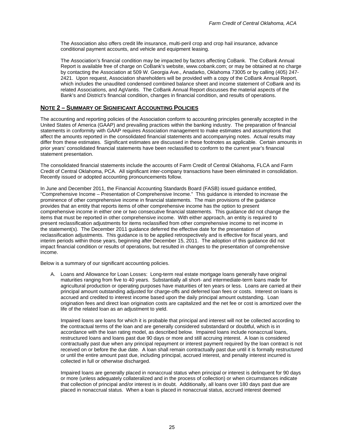The Association also offers credit life insurance, multi-peril crop and crop hail insurance, advance conditional payment accounts, and vehicle and equipment leasing.

The Association's financial condition may be impacted by factors affecting CoBank. The CoBank Annual Report is available free of charge on CoBank's website, www.cobank.com; or may be obtained at no charge by contacting the Association at 509 W. Georgia Ave., Anadarko, Oklahoma 73005 or by calling (405) 247- 2421. Upon request, Association shareholders will be provided with a copy of the CoBank Annual Report, which includes the unaudited condensed combined balance sheet and income statement of CoBank and its related Associations, and AgVantis. The CoBank Annual Report discusses the material aspects of the Bank's and District's financial condition, changes in financial condition, and results of operations.

### **NOTE 2 – SUMMARY OF SIGNIFICANT ACCOUNTING POLICIES**

The accounting and reporting policies of the Association conform to accounting principles generally accepted in the United States of America (GAAP) and prevailing practices within the banking industry. The preparation of financial statements in conformity with GAAP requires Association management to make estimates and assumptions that affect the amounts reported in the consolidated financial statements and accompanying notes. Actual results may differ from these estimates. Significant estimates are discussed in these footnotes as applicable. Certain amounts in prior years' consolidated financial statements have been reclassified to conform to the current year's financial statement presentation.

The consolidated financial statements include the accounts of Farm Credit of Central Oklahoma, FLCA and Farm Credit of Central Oklahoma, PCA. All significant inter-company transactions have been eliminated in consolidation. Recently issued or adopted accounting pronouncements follow.

In June and December 2011, the Financial Accounting Standards Board (FASB) issued guidance entitled, "Comprehensive Income – Presentation of Comprehensive Income." This guidance is intended to increase the prominence of other comprehensive income in financial statements. The main provisions of the guidance provides that an entity that reports items of other comprehensive income has the option to present comprehensive income in either one or two consecutive financial statements. This guidance did not change the items that must be reported in other comprehensive income. With either approach, an entity is required to present reclassification adjustments for items reclassified from other comprehensive income to net income in the statement(s). The December 2011 guidance deferred the effective date for the presentation of reclassification adjustments. This guidance is to be applied retrospectively and is effective for fiscal years, and interim periods within those years, beginning after December 15, 2011. The adoption of this guidance did not impact financial condition or results of operations, but resulted in changes to the presentation of comprehensive income.

Below is a summary of our significant accounting policies.

A. Loans and Allowance for Loan Losses: Long-term real estate mortgage loans generally have original maturities ranging from five to 40 years. Substantially all short- and intermediate-term loans made for agricultural production or operating purposes have maturities of ten years or less. Loans are carried at their principal amount outstanding adjusted for charge-offs and deferred loan fees or costs. Interest on loans is accrued and credited to interest income based upon the daily principal amount outstanding. Loan origination fees and direct loan origination costs are capitalized and the net fee or cost is amortized over the life of the related loan as an adjustment to yield.

Impaired loans are loans for which it is probable that principal and interest will not be collected according to the contractual terms of the loan and are generally considered substandard or doubtful, which is in accordance with the loan rating model, as described below. Impaired loans include nonaccrual loans, restructured loans and loans past due 90 days or more and still accruing interest. A loan is considered contractually past due when any principal repayment or interest payment required by the loan contract is not received on or before the due date. A loan shall remain contractually past due until it is formally restructured or until the entire amount past due, including principal, accrued interest, and penalty interest incurred is collected in full or otherwise discharged.

Impaired loans are generally placed in nonaccrual status when principal or interest is delinquent for 90 days or more (unless adequately collateralized and in the process of collection) or when circumstances indicate that collection of principal and/or interest is in doubt. Additionally, all loans over 180 days past due are placed in nonaccrual status. When a loan is placed in nonaccrual status, accrued interest deemed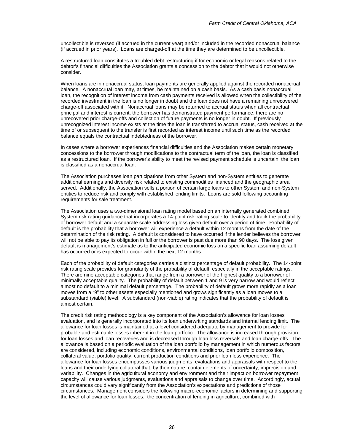uncollectible is reversed (if accrued in the current year) and/or included in the recorded nonaccrual balance (if accrued in prior years). Loans are charged-off at the time they are determined to be uncollectible.

A restructured loan constitutes a troubled debt restructuring if for economic or legal reasons related to the debtor's financial difficulties the Association grants a concession to the debtor that it would not otherwise consider.

When loans are in nonaccrual status, loan payments are generally applied against the recorded nonaccrual balance. A nonaccrual loan may, at times, be maintained on a cash basis. As a cash basis nonaccrual loan, the recognition of interest income from cash payments received is allowed when the collectibility of the recorded investment in the loan is no longer in doubt and the loan does not have a remaining unrecovered charge-off associated with it. Nonaccrual loans may be returned to accrual status when all contractual principal and interest is current, the borrower has demonstrated payment performance, there are no unrecovered prior charge-offs and collection of future payments is no longer in doubt. If previously unrecognized interest income exists at the time the loan is transferred to accrual status, cash received at the time of or subsequent to the transfer is first recorded as interest income until such time as the recorded balance equals the contractual indebtedness of the borrower.

In cases where a borrower experiences financial difficulties and the Association makes certain monetary concessions to the borrower through modifications to the contractual term of the loan, the loan is classified as a restructured loan. If the borrower's ability to meet the revised payment schedule is uncertain, the loan is classified as a nonaccrual loan.

The Association purchases loan participations from other System and non-System entities to generate additional earnings and diversify risk related to existing commodities financed and the geographic area served. Additionally, the Association sells a portion of certain large loans to other System and non-System entities to reduce risk and comply with established lending limits. Loans are sold following accounting requirements for sale treatment.

The Association uses a two-dimensional loan rating model based on an internally generated combined System risk rating guidance that incorporates a 14-point risk-rating scale to identify and track the probability of borrower default and a separate scale addressing loss given default over a period of time. Probability of default is the probability that a borrower will experience a default within 12 months from the date of the determination of the risk rating. A default is considered to have occurred if the lender believes the borrower will not be able to pay its obligation in full or the borrower is past due more than 90 days. The loss given default is management's estimate as to the anticipated economic loss on a specific loan assuming default has occurred or is expected to occur within the next 12 months.

Each of the probability of default categories carries a distinct percentage of default probability. The 14-point risk rating scale provides for granularity of the probability of default, especially in the acceptable ratings. There are nine acceptable categories that range from a borrower of the highest quality to a borrower of minimally acceptable quality. The probability of default between 1 and 9 is very narrow and would reflect almost no default to a minimal default percentage. The probability of default grows more rapidly as a loan moves from a "9" to other assets especially mentioned and grows significantly as a loan moves to a substandard (viable) level. A substandard (non-viable) rating indicates that the probability of default is almost certain.

The credit risk rating methodology is a key component of the Association's allowance for loan losses evaluation, and is generally incorporated into its loan underwriting standards and internal lending limit. The allowance for loan losses is maintained at a level considered adequate by management to provide for probable and estimable losses inherent in the loan portfolio. The allowance is increased through provision for loan losses and loan recoveries and is decreased through loan loss reversals and loan charge-offs. The allowance is based on a periodic evaluation of the loan portfolio by management in which numerous factors are considered, including economic conditions, environmental conditions, loan portfolio composition, collateral value, portfolio quality, current production conditions and prior loan loss experience. The allowance for loan losses encompasses various judgments, evaluations and appraisals with respect to the loans and their underlying collateral that, by their nature, contain elements of uncertainty, imprecision and variability. Changes in the agricultural economy and environment and their impact on borrower repayment capacity will cause various judgments, evaluations and appraisals to change over time. Accordingly, actual circumstances could vary significantly from the Association's expectations and predictions of those circumstances. Management considers the following macro-economic factors in determining and supporting the level of allowance for loan losses: the concentration of lending in agriculture, combined with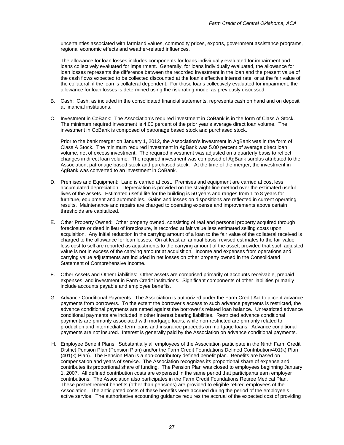uncertainties associated with farmland values, commodity prices, exports, government assistance programs, regional economic effects and weather-related influences.

The allowance for loan losses includes components for loans individually evaluated for impairment and loans collectively evaluated for impairment. Generally, for loans individually evaluated, the allowance for loan losses represents the difference between the recorded investment in the loan and the present value of the cash flows expected to be collected discounted at the loan's effective interest rate, or at the fair value of the collateral, if the loan is collateral dependent. For those loans collectively evaluated for impairment, the allowance for loan losses is determined using the risk-rating model as previously discussed.

- B. Cash: Cash, as included in the consolidated financial statements, represents cash on hand and on deposit at financial institutions.
- C. Investment in CoBank: The Association's required investment in CoBank is in the form of Class A Stock. The minimum required investment is 4.00 percent of the prior year's average direct loan volume. The investment in CoBank is composed of patronage based stock and purchased stock.

 Prior to the bank merger on January 1, 2012, the Association's investment in AgBank was in the form of Class A Stock. The minimum required investment in AgBank was 5.00 percent of average direct loan volume, net of excess investment. The required investment was adjusted on a quarterly basis to reflect changes in direct loan volume. The required investment was composed of AgBank surplus attributed to the Association, patronage based stock and purchased stock. At the time of the merger, the investment in AgBank was converted to an investment in CoBank.

- D. Premises and Equipment: Land is carried at cost. Premises and equipment are carried at cost less accumulated depreciation. Depreciation is provided on the straight-line method over the estimated useful lives of the assets. Estimated useful life for the building is 50 years and ranges from 1 to 8 years for furniture, equipment and automobiles. Gains and losses on dispositions are reflected in current operating results. Maintenance and repairs are charged to operating expense and improvements above certain thresholds are capitalized.
- E. Other Property Owned: Other property owned, consisting of real and personal property acquired through foreclosure or deed in lieu of foreclosure, is recorded at fair value less estimated selling costs upon acquisition. Any initial reduction in the carrying amount of a loan to the fair value of the collateral received is charged to the allowance for loan losses. On at least an annual basis, revised estimates to the fair value less cost to sell are reported as adjustments to the carrying amount of the asset, provided that such adjusted value is not in excess of the carrying amount at acquisition. Income and expenses from operations and carrying value adjustments are included in net losses on other property owned in the Consolidated Statement of Comprehensive Income.
- F. Other Assets and Other Liabilities: Other assets are comprised primarily of accounts receivable, prepaid expenses, and investment in Farm Credit institutions. Significant components of other liabilities primarily include accounts payable and employee benefits.
- G. Advance Conditional Payments: The Association is authorized under the Farm Credit Act to accept advance payments from borrowers. To the extent the borrower's access to such advance payments is restricted, the advance conditional payments are netted against the borrower's related loan balance. Unrestricted advance conditional payments are included in other interest bearing liabilities. Restricted advance conditional payments are primarily associated with mortgage loans, while non-restricted are primarily related to production and intermediate-term loans and insurance proceeds on mortgage loans. Advance conditional payments are not insured. Interest is generally paid by the Association on advance conditional payments.
- H. Employee Benefit Plans: Substantially all employees of the Association participate in the Ninth Farm Credit District Pension Plan (Pension Plan) and/or the Farm Credit Foundations Defined Contribution/401(k) Plan (401(k) Plan). The Pension Plan is a non-contributory defined benefit plan. Benefits are based on compensation and years of service. The Association recognizes its proportional share of expense and contributes its proportional share of funding. The Pension Plan was closed to employees beginning January 1, 2007. All defined contribution costs are expensed in the same period that participants earn employer contributions. The Association also participates in the Farm Credit Foundations Retiree Medical Plan. These postretirement benefits (other than pensions) are provided to eligible retired employees of the Association. The anticipated costs of these benefits were accrued during the period of the employee's active service. The authoritative accounting guidance requires the accrual of the expected cost of providing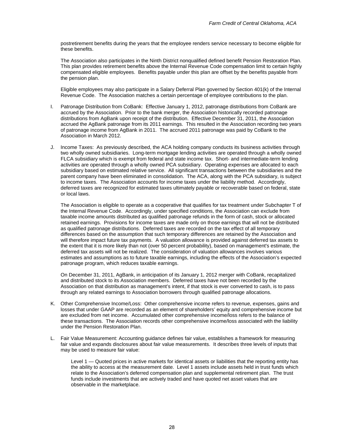postretirement benefits during the years that the employee renders service necessary to become eligible for these benefits.

The Association also participates in the Ninth District nonqualified defined benefit Pension Restoration Plan. This plan provides retirement benefits above the Internal Revenue Code compensation limit to certain highly compensated eligible employees. Benefits payable under this plan are offset by the benefits payable from the pension plan.

Eligible employees may also participate in a Salary Deferral Plan governed by Section 401(k) of the Internal Revenue Code. The Association matches a certain percentage of employee contributions to the plan.

- I. Patronage Distribution from CoBank: Effective January 1, 2012, patronage distributions from CoBank are accrued by the Association. Prior to the bank merger, the Association historically recorded patronage distributions from AgBank upon receipt of the distribution. Effective December 31, 2011, the Association accrued the AgBank patronage from its 2011 earnings. This resulted in the Association recording two years of patronage income from AgBank in 2011. The accrued 2011 patronage was paid by CoBank to the Association in March 2012.
- J. Income Taxes: As previously described, the ACA holding company conducts its business activities through two wholly owned subsidiaries. Long-term mortgage lending activities are operated through a wholly owned FLCA subsidiary which is exempt from federal and state income tax. Short- and intermediate-term lending activities are operated through a wholly owned PCA subsidiary. Operating expenses are allocated to each subsidiary based on estimated relative service. All significant transactions between the subsidiaries and the parent company have been eliminated in consolidation. The ACA, along with the PCA subsidiary, is subject to income taxes. The Association accounts for income taxes under the liability method. Accordingly, deferred taxes are recognized for estimated taxes ultimately payable or recoverable based on federal, state or local laws.

The Association is eligible to operate as a cooperative that qualifies for tax treatment under Subchapter T of the Internal Revenue Code. Accordingly, under specified conditions, the Association can exclude from taxable income amounts distributed as qualified patronage refunds in the form of cash, stock or allocated retained earnings. Provisions for income taxes are made only on those earnings that will not be distributed as qualified patronage distributions. Deferred taxes are recorded on the tax effect of all temporary differences based on the assumption that such temporary differences are retained by the Association and will therefore impact future tax payments. A valuation allowance is provided against deferred tax assets to the extent that it is more likely than not (over 50 percent probability), based on management's estimate, the deferred tax assets will not be realized. The consideration of valuation allowances involves various estimates and assumptions as to future taxable earnings, including the effects of the Association's expected patronage program, which reduces taxable earnings.

On December 31, 2011, AgBank, in anticipation of its January 1, 2012 merger with CoBank, recapitalized and distributed stock to its Association members. Deferred taxes have not been recorded by the Association on that distribution as management's intent, if that stock is ever converted to cash, is to pass through any related earnings to Association borrowers through qualified patronage allocations.

- K. Other Comprehensive Income/Loss: Other comprehensive income refers to revenue, expenses, gains and losses that under GAAP are recorded as an element of shareholders' equity and comprehensive income but are excluded from net income. Accumulated other comprehensive income/loss refers to the balance of these transactions. The Association records other comprehensive income/loss associated with the liability under the Pension Restoration Plan.
- L. Fair Value Measurement: Accounting guidance defines fair value, establishes a framework for measuring fair value and expands disclosures about fair value measurements. It describes three levels of inputs that may be used to measure fair value:

Level 1 — Quoted prices in active markets for identical assets or liabilities that the reporting entity has the ability to access at the measurement date. Level 1 assets include assets held in trust funds which relate to the Association's deferred compensation plan and supplemental retirement plan. The trust funds include investments that are actively traded and have quoted net asset values that are observable in the marketplace.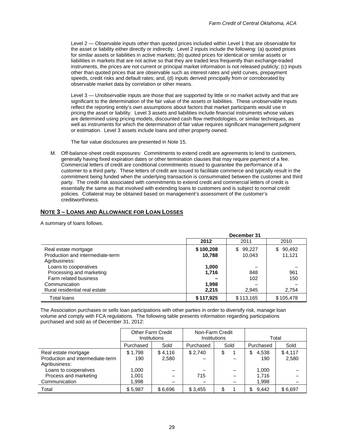Level 2 — Observable inputs other than quoted prices included within Level 1 that are observable for the asset or liability either directly or indirectly. Level 2 inputs include the following: (a) quoted prices for similar assets or liabilities in active markets; (b) quoted prices for identical or similar assets or liabilities in markets that are not active so that they are traded less frequently than exchange-traded instruments, the prices are not current or principal market information is not released publicly; (c) inputs other than quoted prices that are observable such as interest rates and yield curves, prepayment speeds, credit risks and default rates; and, (d) inputs derived principally from or corroborated by observable market data by correlation or other means.

Level 3 — Unobservable inputs are those that are supported by little or no market activity and that are significant to the determination of the fair value of the assets or liabilities. These unobservable inputs reflect the reporting entity's own assumptions about factors that market participants would use in pricing the asset or liability. Level 3 assets and liabilities include financial instruments whose values are determined using pricing models, discounted cash flow methodologies, or similar techniques, as well as instruments for which the determination of fair value requires significant management judgment or estimation. Level 3 assets include loans and other property owned.

The fair value disclosures are presented in Note 15.

M. Off-balance-sheet credit exposures: Commitments to extend credit are agreements to lend to customers, generally having fixed expiration dates or other termination clauses that may require payment of a fee. Commercial letters of credit are conditional commitments issued to guarantee the performance of a customer to a third party. These letters of credit are issued to facilitate commerce and typically result in the commitment being funded when the underlying transaction is consummated between the customer and third party. The credit risk associated with commitments to extend credit and commercial letters of credit is essentially the same as that involved with extending loans to customers and is subject to normal credit policies. Collateral may be obtained based on management's assessment of the customer's creditworthiness.

### **NOTE 3 – LOANS AND ALLOWANCE FOR LOAN LOSSES**

A summary of loans follows.

|                                  | December 31 |              |              |  |  |  |  |
|----------------------------------|-------------|--------------|--------------|--|--|--|--|
|                                  | 2012        | 2011         | 2010         |  |  |  |  |
| Real estate mortgage             | \$100,208   | 99,227<br>\$ | 90,492<br>\$ |  |  |  |  |
| Production and intermediate-term | 10,788      | 10,043       | 11,121       |  |  |  |  |
| Agribusiness:                    |             |              |              |  |  |  |  |
| Loans to cooperatives            | 1,000       |              |              |  |  |  |  |
| Processing and marketing         | 1,716       | 848          | 961          |  |  |  |  |
| Farm related business            |             | 102          | 150          |  |  |  |  |
| Communication                    | 1,998       |              |              |  |  |  |  |
| Rural residential real estate    | 2,215       | 2,945        | 2,754        |  |  |  |  |
| Total loans                      | \$117,925   | \$113,165    | \$105,478    |  |  |  |  |

The Association purchases or sells loan participations with other parties in order to diversify risk, manage loan volume and comply with FCA regulations. The following table presents information regarding participations purchased and sold as of December 31, 2012:

|                                                                           | <b>Other Farm Credit</b><br>Institutions |                  | Non-Farm Credit<br><b>Institutions</b> |      | Total              |                  |  |  |
|---------------------------------------------------------------------------|------------------------------------------|------------------|----------------------------------------|------|--------------------|------------------|--|--|
|                                                                           | Purchased                                | Sold             | Purchased                              | Sold | Purchased          | Sold             |  |  |
| Real estate mortgage<br>Production and intermediate-term<br>Agribusiness: | \$1,798<br>190                           | \$4,116<br>2,580 | \$2,740                                | \$   | 4,538<br>\$<br>190 | \$4,117<br>2,580 |  |  |
| Loans to cooperatives                                                     | 1,000                                    |                  |                                        |      | 1,000              |                  |  |  |
| Process and marketing                                                     | 1,001                                    |                  | 715                                    |      | 1.716              |                  |  |  |
| Communication                                                             | 1,998                                    |                  |                                        |      | 1,998              |                  |  |  |
| Total                                                                     | \$5,987                                  | \$6,696          | \$3,455                                |      | 9,442<br>\$        | \$6,697          |  |  |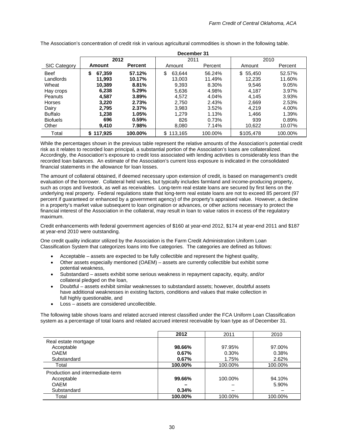|                     | December 31  |                |                |         |           |         |  |  |  |  |  |  |
|---------------------|--------------|----------------|----------------|---------|-----------|---------|--|--|--|--|--|--|
|                     | 2012         |                | 2011           |         | 2010      |         |  |  |  |  |  |  |
| <b>SIC Category</b> | Amount       | <b>Percent</b> | Amount         | Percent | Amount    | Percent |  |  |  |  |  |  |
| <b>Beef</b>         | \$<br>67,359 | 57.12%         | \$<br>63.644   | 56.24%  | \$55,450  | 52.57%  |  |  |  |  |  |  |
| Landlords           | 11.993       | 10.17%         | 13.003         | 11.49%  | 12.235    | 11.60%  |  |  |  |  |  |  |
| Wheat               | 10.389       | 8.81%          | 9,393          | 8.30%   | 9,546     | 9.05%   |  |  |  |  |  |  |
| Hay crops           | 6,238        | 5.29%          | 5,636          | 4.98%   | 4.187     | 3.97%   |  |  |  |  |  |  |
| Peanuts             | 4,587        | 3.89%          | 4,572          | 4.04%   | 4,145     | 3.93%   |  |  |  |  |  |  |
| <b>Horses</b>       | 3,220        | 2.73%          | 2.750          | 2.43%   | 2,669     | 2.53%   |  |  |  |  |  |  |
| Dairy               | 2.795        | 2.37%          | 3,983          | 3.52%   | 4.219     | 4.00%   |  |  |  |  |  |  |
| <b>Buffalo</b>      | 1.238        | 1.05%          | 1.279          | 1.13%   | 1.466     | 1.39%   |  |  |  |  |  |  |
| <b>Biofuels</b>     | 696          | 0.59%          | 826            | 0.73%   | 939       | 0.89%   |  |  |  |  |  |  |
| Other               | 9.410        | 7.98%          | 8.080          | 7.14%   | 10,622    | 10.07%  |  |  |  |  |  |  |
| Total               | \$117.925    | 100.00%        | 113.165<br>\$. | 100.00% | \$105.478 | 100.00% |  |  |  |  |  |  |

The Association's concentration of credit risk in various agricultural commodities is shown in the following table.

While the percentages shown in the previous table represent the relative amounts of the Association's potential credit risk as it relates to recorded loan principal, a substantial portion of the Association's loans are collateralized. Accordingly, the Association's exposure to credit loss associated with lending activities is considerably less than the recorded loan balances. An estimate of the Association's current loss exposure is indicated in the consolidated financial statements in the allowance for loan losses.

The amount of collateral obtained, if deemed necessary upon extension of credit, is based on management's credit evaluation of the borrower. Collateral held varies, but typically includes farmland and income-producing property, such as crops and livestock, as well as receivables. Long-term real estate loans are secured by first liens on the underlying real property. Federal regulations state that long-term real estate loans are not to exceed 85 percent (97 percent if guaranteed or enhanced by a government agency) of the property's appraised value. However, a decline in a property's market value subsequent to loan origination or advances, or other actions necessary to protect the financial interest of the Association in the collateral, may result in loan to value ratios in excess of the regulatory maximum.

Credit enhancements with federal government agencies of \$160 at year-end 2012, \$174 at year-end 2011 and \$187 at year-end 2010 were outstanding.

One credit quality indicator utilized by the Association is the Farm Credit Administration Uniform Loan Classification System that categorizes loans into five categories. The categories are defined as follows:

- Acceptable assets are expected to be fully collectible and represent the highest quality,
- Other assets especially mentioned (OAEM) assets are currently collectible but exhibit some potential weakness,
- Substandard assets exhibit some serious weakness in repayment capacity, equity, and/or collateral pledged on the loan,
- Doubtful assets exhibit similar weaknesses to substandard assets; however, doubtful assets have additional weaknesses in existing factors, conditions and values that make collection in full highly questionable, and
- Loss assets are considered uncollectible.

The following table shows loans and related accrued interest classified under the FCA Uniform Loan Classification system as a percentage of total loans and related accrued interest receivable by loan type as of December 31.

|                                  | 2012    | 2011    | 2010    |
|----------------------------------|---------|---------|---------|
| Real estate mortgage             |         |         |         |
| Acceptable                       | 98.66%  | 97.95%  | 97.00%  |
| <b>OAEM</b>                      | 0.67%   | 0.30%   | 0.38%   |
| Substandard                      | 0.67%   | 1.75%   | 2.62%   |
| Total                            | 100.00% | 100.00% | 100.00% |
| Production and intermediate-term |         |         |         |
| Acceptable                       | 99.66%  | 100.00% | 94.10%  |
| <b>OAFM</b>                      |         |         | 5.90%   |
| Substandard                      | 0.34%   |         |         |
| Total                            | 100.00% | 100.00% | 100.00% |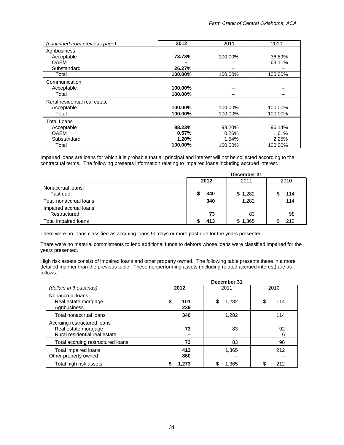| (continued from previous page)                                    | 2012                        | 2011                     | 2010                        |
|-------------------------------------------------------------------|-----------------------------|--------------------------|-----------------------------|
| Agribusiness<br>Acceptable<br><b>OAEM</b><br>Substandard<br>Total | 73.73%<br>26.27%<br>100.00% | 100.00%<br>100.00%       | 36.89%<br>63.11%<br>100.00% |
| Communication<br>Acceptable<br>Total                              | 100.00%<br>100.00%          |                          |                             |
| Rural residential real estate<br>Acceptable<br>Total              | 100.00%<br>100.00%          | 100.00%<br>100.00%       | 100.00%<br>100.00%          |
| Total Loans<br>Acceptable<br><b>OAEM</b><br>Substandard           | 98.23%<br>0.57%<br>1.20%    | 98.20%<br>0.26%<br>1.54% | 96.14%<br>1.61%<br>2.25%    |
| Total                                                             | 100.00%                     | 100.00%                  | 100.00%                     |

Impaired loans are loans for which it is probable that all principal and interest will not be collected according to the contractual terms. The following presents information relating to impaired loans including accrued interest.

|                                         | December 31 |         |      |  |  |  |  |  |
|-----------------------------------------|-------------|---------|------|--|--|--|--|--|
|                                         | 2012        | 2011    | 2010 |  |  |  |  |  |
| Nonaccrual loans:<br>Past due           | 340         | \$1,282 | 114  |  |  |  |  |  |
| Total nonaccrual loans                  | 340         | 1,282   | 114  |  |  |  |  |  |
| Impaired accrual loans:<br>Restructured | 73          | 83      | 98   |  |  |  |  |  |
| Total impaired loans                    | 413         | \$1,365 | 212  |  |  |  |  |  |

There were no loans classified as accruing loans 90 days or more past due for the years presented.

There were no material commitments to lend additional funds to debtors whose loans were classified impaired for the years presented.

High risk assets consist of impaired loans and other property owned. The following table presents these in a more detailed manner than the previous table. These nonperforming assets (including related accrued interest) are as follows:

|                                                                                      | December 31     |       |          |  |  |  |  |  |  |
|--------------------------------------------------------------------------------------|-----------------|-------|----------|--|--|--|--|--|--|
| (dollars in thousands)                                                               | 2012            | 2011  | 2010     |  |  |  |  |  |  |
| Nonaccrual loans<br>Real estate mortgage<br>Agribusiness                             | 101<br>S<br>239 | 1,282 | S<br>114 |  |  |  |  |  |  |
| Total nonaccrual loans                                                               | 340             | 1,282 | 114      |  |  |  |  |  |  |
| Accruing restructured loans<br>Real estate mortgage<br>Rural residential real estate | 73              | 83    | 92<br>6  |  |  |  |  |  |  |
| Total accruing restructured loans                                                    | 73              | 83    | 98       |  |  |  |  |  |  |
| Total impaired loans<br>Other property owned                                         | 413<br>860      | 1,365 | 212      |  |  |  |  |  |  |
| Total high risk assets                                                               | 1,273           | 1,365 | 212      |  |  |  |  |  |  |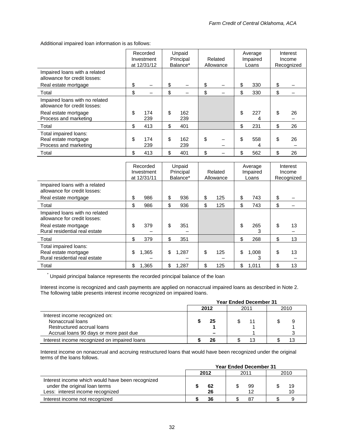Additional impaired loan information is as follows:

|                                                                        |     | Recorded<br>Investment<br>at 12/31/12 |     | Unpaid<br>Principal<br>Balance* | Related<br>Allowance |     | Average<br>Impaired<br>Loans | Interest<br>Income<br>Recognized |
|------------------------------------------------------------------------|-----|---------------------------------------|-----|---------------------------------|----------------------|-----|------------------------------|----------------------------------|
| Impaired loans with a related<br>allowance for credit losses:          |     |                                       |     |                                 |                      |     |                              |                                  |
| Real estate mortgage                                                   | \$  |                                       | \$  |                                 | \$                   | \$  | 330                          | \$                               |
| Total                                                                  | \$  |                                       | \$  |                                 | \$                   | \$  | 330                          | \$                               |
| Impaired loans with no related<br>allowance for credit losses:         |     |                                       |     |                                 |                      |     |                              |                                  |
| Real estate mortgage<br>Process and marketing                          | \$  | 174<br>239                            | \$  | 162<br>239                      |                      | \$  | 227<br>4                     | \$<br>26                         |
| Total                                                                  | \$  | 413                                   | \$  | 401                             |                      | \$  | 231                          | \$<br>26                         |
| Total impaired loans:<br>Real estate mortgage<br>Process and marketing | \$  | 174<br>239                            | \$  | 162<br>239                      | \$                   | \$  | 558<br>4                     | \$<br>26                         |
| Total                                                                  | \$. | 413                                   | \$. | 401                             | \$                   | \$. | 562                          | \$<br>26                         |

|                                                                                | Recorded<br>Investment<br>at 12/31/11 | Unpaid<br>Principal<br>Balance* | Related<br>Allowance |     | Average<br>Impaired<br>Loans | Interest<br>Income<br>Recognized |
|--------------------------------------------------------------------------------|---------------------------------------|---------------------------------|----------------------|-----|------------------------------|----------------------------------|
| Impaired loans with a related<br>allowance for credit losses:                  |                                       |                                 |                      |     |                              |                                  |
| Real estate mortgage                                                           | \$<br>986                             | \$<br>936                       | \$<br>125            | \$  | 743                          | \$                               |
| Total                                                                          | \$<br>986                             | \$<br>936                       | \$<br>125            | \$  | 743                          | \$                               |
| Impaired loans with no related<br>allowance for credit losses:                 |                                       |                                 |                      |     |                              |                                  |
| Real estate mortgage<br>Rural residential real estate                          | \$<br>379                             | \$<br>351                       |                      | \$. | 265<br>3                     | \$<br>13                         |
| Total                                                                          | \$<br>379                             | \$<br>351                       |                      | \$  | 268                          | \$<br>13                         |
| Total impaired loans:<br>Real estate mortgage<br>Rural residential real estate | \$<br>1,365                           | \$<br>1.287                     | \$<br>125            | \$  | 1.008<br>3                   | \$<br>13                         |
| Total                                                                          | \$<br>1,365                           | \$<br>1,287                     | \$<br>125            | \$  | 1,011                        | 13                               |

\* Unpaid principal balance represents the recorded principal balance of the loan

Interest income is recognized and cash payments are applied on nonaccrual impaired loans as described in Note 2. The following table presents interest income recognized on impaired loans.

|                                              | <b>Year Ended December 31</b> |    |  |      |  |  |  |  |  |
|----------------------------------------------|-------------------------------|----|--|------|--|--|--|--|--|
|                                              | 2012<br>2011                  |    |  | 2010 |  |  |  |  |  |
| Interest income recognized on:               |                               |    |  |      |  |  |  |  |  |
| Nonaccrual loans                             |                               | 25 |  |      |  |  |  |  |  |
| Restructured accrual loans                   |                               |    |  |      |  |  |  |  |  |
| Accrual loans 90 days or more past due       |                               |    |  |      |  |  |  |  |  |
| Interest income recognized on impaired loans |                               | 26 |  |      |  |  |  |  |  |

Interest income on nonaccrual and accruing restructured loans that would have been recognized under the original terms of the loans follows.

|                                                                                                                       | <b>Year Ended December 31</b> |  |  |      |  |          |  |  |  |  |  |
|-----------------------------------------------------------------------------------------------------------------------|-------------------------------|--|--|------|--|----------|--|--|--|--|--|
|                                                                                                                       | 2012                          |  |  | 2011 |  | 2010     |  |  |  |  |  |
| Interest income which would have been recognized<br>under the original loan terms<br>Less: interest income recognized | 62<br>26                      |  |  | 99   |  | 19<br>10 |  |  |  |  |  |
| Interest income not recognized                                                                                        | 36                            |  |  |      |  |          |  |  |  |  |  |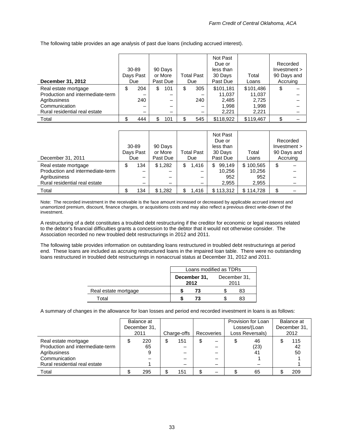The following table provides an age analysis of past due loans (including accrued interest).

| December 31, 2012                | 30-89<br>Days Past<br>Due | 90 Days<br>or More<br>Past Due | <b>Total Past</b><br>Due | Not Past<br>Due or<br>less than<br>30 Days<br>Past Due | Total<br>Loans | Recorded<br>Investment ><br>90 Days and<br>Accruing |  |
|----------------------------------|---------------------------|--------------------------------|--------------------------|--------------------------------------------------------|----------------|-----------------------------------------------------|--|
| Real estate mortgage             | \$<br>204                 | \$<br>101                      | \$<br>305                | \$101,181                                              | \$101,486      | \$                                                  |  |
| Production and intermediate-term |                           |                                |                          | 11,037                                                 | 11,037         |                                                     |  |
| Agribusiness                     | 240                       |                                | 240                      | 2,485                                                  | 2,725          |                                                     |  |
| Communication                    |                           |                                |                          | 1,998                                                  | 1,998          |                                                     |  |
| Rural residential real estate    | -                         | -                              |                          | 2,221                                                  | 2,221          |                                                     |  |
| Total                            | \$<br>444                 | 101                            | 545                      | \$118,922                                              | \$119,467      | \$                                                  |  |

| December 31, 2011                | 30-89<br>Days Past<br>Due | 90 Days<br>or More<br>Past Due | <b>Total Past</b><br>Due | Not Past<br>Due or<br>less than<br>30 Days<br>Past Due | Total<br>Loans | Recorded<br>Investment ><br>90 Days and<br>Accruing |
|----------------------------------|---------------------------|--------------------------------|--------------------------|--------------------------------------------------------|----------------|-----------------------------------------------------|
|                                  |                           |                                |                          |                                                        |                |                                                     |
| Real estate mortgage             | \$<br>134                 | \$1,282                        | \$<br>1,416              | 99,149<br>\$                                           | \$100,565      | \$                                                  |
| Production and intermediate-term | -                         |                                |                          | 10,256                                                 | 10,256         |                                                     |
| Agribusiness                     |                           |                                |                          | 952                                                    | 952            |                                                     |
| Rural residential real estate    |                           |                                |                          | 2,955                                                  | 2,955          |                                                     |
| Total                            | 134                       | \$1,282                        | 1,416                    | \$113,312                                              | \$114,728      |                                                     |

Note: The recorded investment in the receivable is the face amount increased or decreased by applicable accrued interest and unamortized premium, discount, finance charges, or acquisitions costs and may also reflect a previous direct write-down of the investment.

A restructuring of a debt constitutes a troubled debt restructuring if the creditor for economic or legal reasons related to the debtor's financial difficulties grants a concession to the debtor that it would not otherwise consider. The Association recorded no new troubled debt restructurings in 2012 and 2011.

The following table provides information on outstanding loans restructured in troubled debt restructurings at period end. These loans are included as accruing restructured loans in the impaired loan table. There were no outstanding loans restructured in troubled debt restructurings in nonaccrual status at December 31, 2012 and 2011.

|                      | Loans modified as TDRs |                      |                      |    |  |
|----------------------|------------------------|----------------------|----------------------|----|--|
|                      |                        | December 31,<br>2012 | December 31,<br>2011 |    |  |
| Real estate mortgage |                        | 73                   |                      | 83 |  |
| Total                |                        | 73                   |                      | 83 |  |

A summary of changes in the allowance for loan losses and period end recorded investment in loans is as follows:

|                                                                                                                            | Balance at<br>December 31,<br>2011 | Charge-offs | Recoveries | Provision for Loan<br>Losses/(Loan<br>Loss Reversals) | Balance at<br>December 31.<br>2012 |
|----------------------------------------------------------------------------------------------------------------------------|------------------------------------|-------------|------------|-------------------------------------------------------|------------------------------------|
| Real estate mortgage<br>Production and intermediate-term<br>Agribusiness<br>Communication<br>Rural residential real estate | 220<br>65                          | 151         | \$         | 46<br>(23)<br>41                                      | 115<br>42<br>50                    |
| Total                                                                                                                      | 295                                | 151         |            | 65                                                    | 209                                |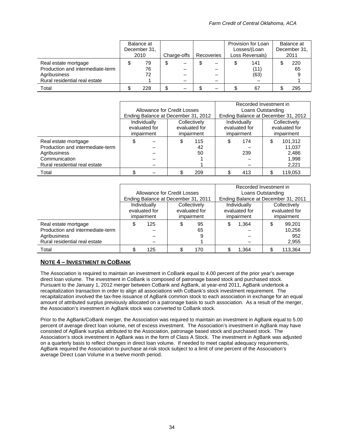|                                                                                                           | Balance at<br>December 31,<br>2010 | Charge-offs | Recoveries |  | Provision for Loan<br>Losses/(Loan<br>Loss Reversals) | Balance at<br>December 31.<br>2011 |
|-----------------------------------------------------------------------------------------------------------|------------------------------------|-------------|------------|--|-------------------------------------------------------|------------------------------------|
| Real estate mortgage<br>Production and intermediate-term<br>Agribusiness<br>Rural residential real estate | 79<br>76<br>72                     |             |            |  | 141<br>(11)<br>(63)                                   | 220<br>65                          |
| Total                                                                                                     | 228                                |             |            |  | 67                                                    | 295                                |

|                                  |                             |                                     |  |                   | Recorded Investment in |               |    |                                     |  |
|----------------------------------|-----------------------------|-------------------------------------|--|-------------------|------------------------|---------------|----|-------------------------------------|--|
|                                  | Allowance for Credit Losses |                                     |  | Loans Outstanding |                        |               |    |                                     |  |
|                                  |                             | Ending Balance at December 31, 2012 |  |                   |                        |               |    | Ending Balance at December 31, 2012 |  |
|                                  | Individually                |                                     |  | Collectively      |                        | Individually  |    | Collectively                        |  |
|                                  | evaluated for               |                                     |  | evaluated for     |                        | evaluated for |    | evaluated for                       |  |
|                                  | impairment                  |                                     |  | impairment        |                        | impairment    |    | impairment                          |  |
| Real estate mortgage             | \$                          |                                     |  | 115               | S                      | 174           | \$ | 101,312                             |  |
| Production and intermediate-term |                             |                                     |  | 42                |                        |               |    | 11.037                              |  |
| Agribusiness                     |                             |                                     |  | 50                |                        | 239           |    | 2,486                               |  |
| Communication                    |                             |                                     |  |                   |                        |               |    | 1,998                               |  |
| Rural residential real estate    |                             |                                     |  |                   |                        |               |    | 2,221                               |  |
| Total                            |                             |                                     |  | 209               |                        | 413           |    | 119.053                             |  |

|                                  | Allowance for Credit Losses         |               |               | Recorded Investment in<br>Loans Outstanding |               |              |               |         |
|----------------------------------|-------------------------------------|---------------|---------------|---------------------------------------------|---------------|--------------|---------------|---------|
|                                  | Ending Balance at December 31, 2011 |               |               | Ending Balance at December 31, 2011         |               |              |               |         |
|                                  | Individually<br>Collectively        |               |               | Individually                                |               | Collectively |               |         |
|                                  |                                     | evaluated for | evaluated for |                                             | evaluated for |              | evaluated for |         |
|                                  |                                     | impairment    | impairment    |                                             | impairment    |              | impairment    |         |
| Real estate mortgage             | \$                                  | 125           |               | 95                                          |               | 1.364        | Œ             | 99.201  |
| Production and intermediate-term |                                     |               |               | 65                                          |               |              |               | 10,256  |
| Agribusiness                     |                                     |               |               | 9                                           |               |              |               | 952     |
| Rural residential real estate    |                                     |               |               |                                             |               |              |               | 2,955   |
| Total                            |                                     | 125           |               | 170                                         |               | 1.364        |               | 113.364 |

### **NOTE 4 – INVESTMENT IN COBANK**

The Association is required to maintain an investment in CoBank equal to 4.00 percent of the prior year's average direct loan volume. The investment in CoBank is composed of patronage based stock and purchased stock. Pursuant to the January 1, 2012 merger between CoBank and AgBank, at year-end 2011, AgBank undertook a recapitalization transaction in order to align all associations with CoBank's stock investment requirement. The recapitalization involved the tax-free issuance of AgBank common stock to each association in exchange for an equal amount of attributed surplus previously allocated on a patronage basis to such association. As a result of the merger, the Association's investment in AgBank stock was converted to CoBank stock.

Prior to the AgBank/CoBank merger, the Association was required to maintain an investment in AgBank equal to 5.00 percent of average direct loan volume, net of excess investment. The Association's investment in AgBank may have consisted of AgBank surplus attributed to the Association, patronage based stock and purchased stock. The Association's stock investment in AgBank was in the form of Class A Stock. The investment in AgBank was adjusted on a quarterly basis to reflect changes in direct loan volume. If needed to meet capital adequacy requirements, AgBank required the Association to purchase at-risk stock subject to a limit of one percent of the Association's average Direct Loan Volume in a twelve month period.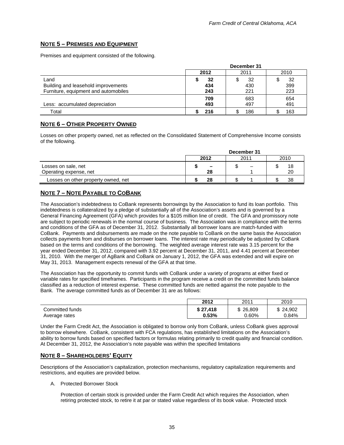### **NOTE 5 – PREMISES AND EQUIPMENT**

Premises and equipment consisted of the following.

|                                      |      | December 31 |      |
|--------------------------------------|------|-------------|------|
|                                      | 2012 | 2011        | 2010 |
| Land                                 | 32   | 32          | 32   |
| Building and leasehold improvements  | 434  | 430         | 399  |
| Furniture, equipment and automobiles | 243  | 221         | 223  |
|                                      | 709  | 683         | 654  |
| Less: accumulated depreciation       | 493  | 497         | 491  |
| Total                                |      | 186         | 163  |

### **NOTE 6 – OTHER PROPERTY OWNED**

Losses on other property owned, net as reflected on the Consolidated Statement of Comprehensive Income consists of the following.

|                                     | December 31              |   |    |  |  |  |  |  |
|-------------------------------------|--------------------------|---|----|--|--|--|--|--|
|                                     | 2012<br>2011             |   |    |  |  |  |  |  |
| Losses on sale, net                 | $\overline{\phantom{0}}$ | – | 18 |  |  |  |  |  |
| Operating expense, net              | 28                       |   | 20 |  |  |  |  |  |
| Losses on other property owned, net | 28                       |   | 38 |  |  |  |  |  |

### **NOTE 7 – NOTE PAYABLE TO COBANK**

The Association's indebtedness to CoBank represents borrowings by the Association to fund its loan portfolio. This indebtedness is collateralized by a pledge of substantially all of the Association's assets and is governed by a General Financing Agreement (GFA) which provides for a \$105 million line of credit. The GFA and promissory note are subject to periodic renewals in the normal course of business. The Association was in compliance with the terms and conditions of the GFA as of December 31, 2012. Substantially all borrower loans are match-funded with CoBank. Payments and disbursements are made on the note payable to CoBank on the same basis the Association collects payments from and disburses on borrower loans. The interest rate may periodically be adjusted by CoBank based on the terms and conditions of the borrowing. The weighted average interest rate was 3.15 percent for the year ended December 31, 2012, compared with 3.92 percent at December 31, 2011, and 4.41 percent at December 31, 2010. With the merger of AgBank and CoBank on January 1, 2012, the GFA was extended and will expire on May 31, 2013. Management expects renewal of the GFA at that time.

The Association has the opportunity to commit funds with CoBank under a variety of programs at either fixed or variable rates for specified timeframes. Participants in the program receive a credit on the committed funds balance classified as a reduction of interest expense. These committed funds are netted against the note payable to the Bank. The average committed funds as of December 31 are as follows:

|                 | 2012     | 2011     | 2010     |
|-----------------|----------|----------|----------|
| Committed funds | \$27.418 | \$26,809 | \$24,902 |
| Average rates   | 0.53%    | $0.60\%$ | 0.84%    |

Under the Farm Credit Act, the Association is obligated to borrow only from CoBank, unless CoBank gives approval to borrow elsewhere. CoBank, consistent with FCA regulations, has established limitations on the Association's ability to borrow funds based on specified factors or formulas relating primarily to credit quality and financial condition. At December 31, 2012, the Association's note payable was within the specified limitations

### **NOTE 8 – SHAREHOLDERS' EQUITY**

Descriptions of the Association's capitalization, protection mechanisms, regulatory capitalization requirements and restrictions, and equities are provided below.

### A. Protected Borrower Stock

Protection of certain stock is provided under the Farm Credit Act which requires the Association, when retiring protected stock, to retire it at par or stated value regardless of its book value. Protected stock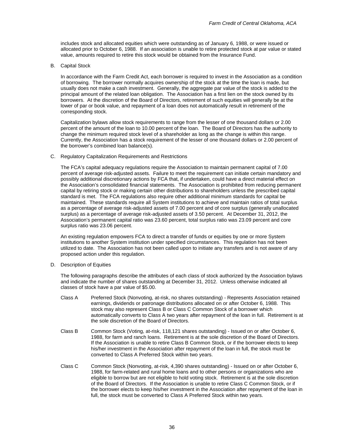includes stock and allocated equities which were outstanding as of January 6, 1988, or were issued or allocated prior to October 6, 1988. If an association is unable to retire protected stock at par value or stated value, amounts required to retire this stock would be obtained from the Insurance Fund.

B. Capital Stock

In accordance with the Farm Credit Act, each borrower is required to invest in the Association as a condition of borrowing. The borrower normally acquires ownership of the stock at the time the loan is made, but usually does not make a cash investment. Generally, the aggregate par value of the stock is added to the principal amount of the related loan obligation. The Association has a first lien on the stock owned by its borrowers. At the discretion of the Board of Directors, retirement of such equities will generally be at the lower of par or book value, and repayment of a loan does not automatically result in retirement of the corresponding stock.

Capitalization bylaws allow stock requirements to range from the lesser of one thousand dollars or 2.00 percent of the amount of the loan to 10.00 percent of the loan. The Board of Directors has the authority to change the minimum required stock level of a shareholder as long as the change is within this range. Currently, the Association has a stock requirement of the lesser of one thousand dollars or 2.00 percent of the borrower's combined loan balance(s).

C. Regulatory Capitalization Requirements and Restrictions

The FCA's capital adequacy regulations require the Association to maintain permanent capital of 7.00 percent of average risk-adjusted assets. Failure to meet the requirement can initiate certain mandatory and possibly additional discretionary actions by FCA that, if undertaken, could have a direct material effect on the Association's consolidated financial statements. The Association is prohibited from reducing permanent capital by retiring stock or making certain other distributions to shareholders unless the prescribed capital standard is met. The FCA regulations also require other additional minimum standards for capital be maintained. These standards require all System institutions to achieve and maintain ratios of total surplus as a percentage of average risk-adjusted assets of 7.00 percent and of core surplus (generally unallocated surplus) as a percentage of average risk-adjusted assets of 3.50 percent. At December 31, 2012, the Association's permanent capital ratio was 23.60 percent, total surplus ratio was 23.09 percent and core surplus ratio was 23.06 percent.

An existing regulation empowers FCA to direct a transfer of funds or equities by one or more System institutions to another System institution under specified circumstances. This regulation has not been utilized to date. The Association has not been called upon to initiate any transfers and is not aware of any proposed action under this regulation.

D. Description of Equities

The following paragraphs describe the attributes of each class of stock authorized by the Association bylaws and indicate the number of shares outstanding at December 31, 2012. Unless otherwise indicated all classes of stock have a par value of \$5.00.

- Class A Preferred Stock (Nonvoting, at-risk, no shares outstanding) Represents Association retained earnings, dividends or patronage distributions allocated on or after October 6, 1988. This stock may also represent Class B or Class C Common Stock of a borrower which automatically converts to Class A two years after repayment of the loan in full. Retirement is at the sole discretion of the Board of Directors.
- Class B Common Stock (Voting, at-risk, 118,121 shares outstanding) Issued on or after October 6, 1988, for farm and ranch loans. Retirement is at the sole discretion of the Board of Directors. If the Association is unable to retire Class B Common Stock, or if the borrower elects to keep his/her investment in the Association after repayment of the loan in full, the stock must be converted to Class A Preferred Stock within two years.
- Class C Common Stock (Nonvoting, at-risk, 4,390 shares outstanding) Issued on or after October 6, 1988, for farm-related and rural home loans and to other persons or organizations who are eligible to borrow but are not eligible to hold voting stock. Retirement is at the sole discretion of the Board of Directors. If the Association is unable to retire Class C Common Stock, or if the borrower elects to keep his/her investment in the Association after repayment of the loan in full, the stock must be converted to Class A Preferred Stock within two years.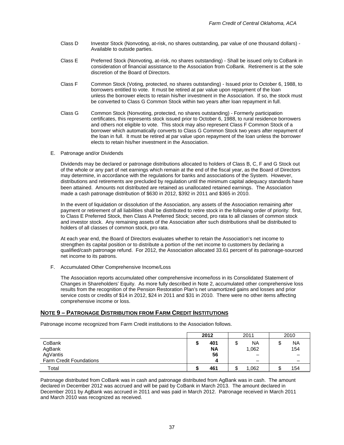- Class D Investor Stock (Nonvoting, at-risk, no shares outstanding, par value of one thousand dollars) -Available to outside parties.
- Class E Preferred Stock (Nonvoting, at-risk, no shares outstanding) Shall be issued only to CoBank in consideration of financial assistance to the Association from CoBank. Retirement is at the sole discretion of the Board of Directors.
- Class F Common Stock (Voting, protected, no shares outstanding) Issued prior to October 6, 1988, to borrowers entitled to vote. It must be retired at par value upon repayment of the loan unless the borrower elects to retain his/her investment in the Association. If so, the stock must be converted to Class G Common Stock within two years after loan repayment in full.
- Class G Common Stock (Nonvoting, protected, no shares outstanding) Formerly participation certificates, this represents stock issued prior to October 6, 1988, to rural residence borrowers and others not eligible to vote. This stock may also represent Class F Common Stock of a borrower which automatically converts to Class G Common Stock two years after repayment of the loan in full. It must be retired at par value upon repayment of the loan unless the borrower elects to retain his/her investment in the Association.
- E. Patronage and/or Dividends

Dividends may be declared or patronage distributions allocated to holders of Class B, C, F and G Stock out of the whole or any part of net earnings which remain at the end of the fiscal year, as the Board of Directors may determine, in accordance with the regulations for banks and associations of the System. However, distributions and retirements are precluded by regulation until the minimum capital adequacy standards have been attained. Amounts not distributed are retained as unallocated retained earnings. The Association made a cash patronage distribution of \$630 in 2012, \$392 in 2011 and \$365 in 2010.

In the event of liquidation or dissolution of the Association, any assets of the Association remaining after payment or retirement of all liabilities shall be distributed to retire stock in the following order of priority: first, to Class E Preferred Stock, then Class A Preferred Stock; second, pro rata to all classes of common stock and investor stock. Any remaining assets of the Association after such distributions shall be distributed to holders of all classes of common stock, pro rata.

At each year end, the Board of Directors evaluates whether to retain the Association's net income to strengthen its capital position or to distribute a portion of the net income to customers by declaring a qualified/cash patronage refund. For 2012, the Association allocated 33.61 percent of its patronage-sourced net income to its patrons.

F. Accumulated Other Comprehensive Income/Loss

The Association reports accumulated other comprehensive income/loss in its Consolidated Statement of Changes in Shareholders' Equity. As more fully described in Note 2, accumulated other comprehensive loss results from the recognition of the Pension Restoration Plan's net unamortized gains and losses and prior service costs or credits of \$14 in 2012, \$24 in 2011 and \$31 in 2010. There were no other items affecting comprehensive income or loss.

### **NOTE 9 – PATRONAGE DISTRIBUTION FROM FARM CREDIT INSTITUTIONS**

Patronage income recognized from Farm Credit institutions to the Association follows.

|                                | 2012<br>2011 |           | 2010      |   |           |
|--------------------------------|--------------|-----------|-----------|---|-----------|
| CoBank                         |              | 401       | <b>NA</b> | ◡ | <b>NA</b> |
| AgBank                         |              | <b>NA</b> | 1,062     |   | 154       |
| AgVantis                       |              | 56        | -         |   |           |
| <b>Farm Credit Foundations</b> |              | 4         | -         |   |           |
| Total                          |              | 461       | 1,062     |   | 154       |

Patronage distributed from CoBank was in cash and patronage distributed from AgBank was in cash. The amount declared in December 2012 was accrued and will be paid by CoBank in March 2013. The amount declared in December 2011 by AgBank was accrued in 2011 and was paid in March 2012. Patronage received in March 2011 and March 2010 was recognized as received.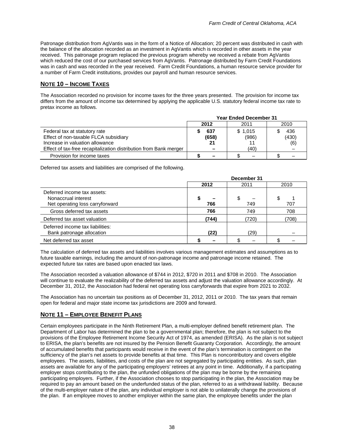Patronage distribution from AgVantis was in the form of a Notice of Allocation; 20 percent was distributed in cash with the balance of the allocation recorded as an investment in AgVantis which is recorded in other assets in the year received. This patronage program replaced the previous program whereby we received a rebate from AgVantis which reduced the cost of our purchased services from AgVantis. Patronage distributed by Farm Credit Foundations was in cash and was recorded in the year received. Farm Credit Foundations, a human resource service provider for a number of Farm Credit institutions, provides our payroll and human resource services.

### **NOTE 10 – INCOME TAXES**

The Association recorded no provision for income taxes for the three years presented. The provision for income tax differs from the amount of income tax determined by applying the applicable U.S. statutory federal income tax rate to pretax income as follows.

|                                                                                                                                                                                | <b>Year Ended December 31</b>                  |                          |                     |  |  |  |
|--------------------------------------------------------------------------------------------------------------------------------------------------------------------------------|------------------------------------------------|--------------------------|---------------------|--|--|--|
|                                                                                                                                                                                | 2012                                           | 2011                     | 2010                |  |  |  |
| Federal tax at statutory rate<br>Effect of non-taxable FLCA subsidiary<br>Increase in valuation allowance<br>Effect of tax-free recapitalization distribution from Bank merger | 637<br>(658)<br>21<br>$\overline{\phantom{0}}$ | \$1,015<br>(986)<br>(40) | 436<br>(430)<br>(6) |  |  |  |
| Provision for income taxes                                                                                                                                                     | -                                              |                          |                     |  |  |  |

Deferred tax assets and liabilities are comprised of the following.

|                                                                                       | December 31 |          |       |  |  |  |
|---------------------------------------------------------------------------------------|-------------|----------|-------|--|--|--|
|                                                                                       | 2012        | 2011     | 2010  |  |  |  |
| Deferred income tax assets:<br>Nonaccrual interest<br>Net operating loss carryforward | \$<br>766   | S<br>749 | 707   |  |  |  |
| Gross deferred tax assets                                                             | 766         | 749      | 708   |  |  |  |
| Deferred tax asset valuation                                                          | (744)       | (720)    | (708) |  |  |  |
| Deferred income tax liabilities:<br>Bank patronage allocation                         | (22)        | (29)     |       |  |  |  |
| Net deferred tax asset                                                                |             |          |       |  |  |  |

The calculation of deferred tax assets and liabilities involves various management estimates and assumptions as to future taxable earnings, including the amount of non-patronage income and patronage income retained. The expected future tax rates are based upon enacted tax laws.

The Association recorded a valuation allowance of \$744 in 2012, \$720 in 2011 and \$708 in 2010. The Association will continue to evaluate the realizability of the deferred tax assets and adjust the valuation allowance accordingly. At December 31, 2012, the Association had federal net operating loss carryforwards that expire from 2021 to 2032.

The Association has no uncertain tax positions as of December 31, 2012, 2011 or 2010. The tax years that remain open for federal and major state income tax jurisdictions are 2009 and forward.

### **NOTE 11 – EMPLOYEE BENEFIT PLANS**

Certain employees participate in the Ninth Retirement Plan, a multi-employer defined benefit retirement plan. The Department of Labor has determined the plan to be a governmental plan; therefore, the plan is not subject to the provisions of the Employee Retirement Income Security Act of 1974, as amended (ERISA). As the plan is not subject to ERISA, the plan's benefits are not insured by the Pension Benefit Guaranty Corporation. Accordingly, the amount of accumulated benefits that participants would receive in the event of the plan's termination is contingent on the sufficiency of the plan's net assets to provide benefits at that time. This Plan is noncontributory and covers eligible employees. The assets, liabilities, and costs of the plan are not segregated by participating entities. As such, plan assets are available for any of the participating employers' retirees at any point in time. Additionally, if a participating employer stops contributing to the plan, the unfunded obligations of the plan may be borne by the remaining participating employers. Further, if the Association chooses to stop participating in the plan, the Association may be required to pay an amount based on the underfunded status of the plan, referred to as a withdrawal liability. Because of the multi-employer nature of the plan, any individual employer is not able to unilaterally change the provisions of the plan. If an employee moves to another employer within the same plan, the employee benefits under the plan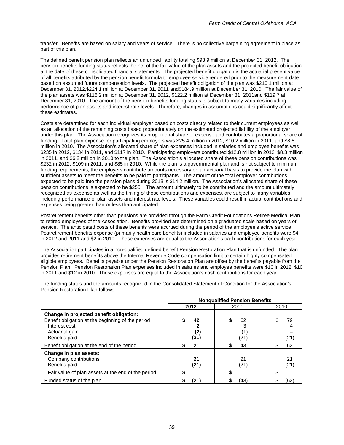transfer. Benefits are based on salary and years of service. There is no collective bargaining agreement in place as part of this plan.

The defined benefit pension plan reflects an unfunded liability totaling \$93.9 million at December 31, 2012. The pension benefits funding status reflects the net of the fair value of the plan assets and the projected benefit obligation at the date of these consolidated financial statements. The projected benefit obligation is the actuarial present value of all benefits attributed by the pension benefit formula to employee service rendered prior to the measurement date based on assumed future compensation levels. The projected benefit obligation of the plan was \$210.1 million at December 31, 2012,\$224.1 million at December 31, 2011 and\$184.9 million at December 31, 2010. The fair value of the plan assets was \$116.2 million at December 31, 2012, \$122.2 million at December 31, 2011and \$119.7 at December 31, 2010. The amount of the pension benefits funding status is subject to many variables including performance of plan assets and interest rate levels. Therefore, changes in assumptions could significantly affect these estimates.

Costs are determined for each individual employer based on costs directly related to their current employees as well as an allocation of the remaining costs based proportionately on the estimated projected liability of the employer under this plan. The Association recognizes its proportional share of expense and contributes a proportional share of funding. Total plan expense for participating employers was \$25.4 million in 2012, \$10.2 million in 2011, and \$8.6 million in 2010. The Association's allocated share of plan expenses included in salaries and employee benefits was \$235 in 2012, \$134 in 2011, and \$117 in 2010. Participating employers contributed \$12.8 million in 2012, \$8.3 million in 2011, and \$6.2 million in 2010 to the plan. The Association's allocated share of these pension contributions was \$232 in 2012, \$109 in 2011, and \$85 in 2010. While the plan is a governmental plan and is not subject to minimum funding requirements, the employers contribute amounts necessary on an actuarial basis to provide the plan with sufficient assets to meet the benefits to be paid to participants. The amount of the total employer contributions expected to be paid into the pension plans during 2013 is \$14.2 million. The Association's allocated share of these pension contributions is expected to be \$255. The amount ultimately to be contributed and the amount ultimately recognized as expense as well as the timing of those contributions and expenses, are subject to many variables including performance of plan assets and interest rate levels. These variables could result in actual contributions and expenses being greater than or less than anticipated.

Postretirement benefits other than pensions are provided through the Farm Credit Foundations Retiree Medical Plan to retired employees of the Association. Benefits provided are determined on a graduated scale based on years of service. The anticipated costs of these benefits were accrued during the period of the employee's active service. Postretirement benefits expense (primarily health care benefits) included in salaries and employee benefits were \$4 in 2012 and 2011 and \$2 in 2010. These expenses are equal to the Association's cash contributions for each year.

The Association participates in a non-qualified defined benefit Pension Restoration Plan that is unfunded. The plan provides retirement benefits above the Internal Revenue Code compensation limit to certain highly compensated eligible employees. Benefits payable under the Pension Restoration Plan are offset by the benefits payable from the Pension Plan. Pension Restoration Plan expenses included in salaries and employee benefits were \$10 in 2012, \$10 in 2011 and \$12 in 2010. These expenses are equal to the Association's cash contributions for each year.

|                                                                                                                                                  | <b>Nonqualified Pension Benefits</b> |                        |            |  |  |  |  |  |
|--------------------------------------------------------------------------------------------------------------------------------------------------|--------------------------------------|------------------------|------------|--|--|--|--|--|
|                                                                                                                                                  | 2012                                 | 2011                   | 2010       |  |  |  |  |  |
| Change in projected benefit obligation:<br>Benefit obligation at the beginning of the period<br>Interest cost<br>Actuarial gain<br>Benefits paid | 42<br>(2)<br>(21)                    | \$<br>62<br>(1)<br>21) | 79<br>(21) |  |  |  |  |  |
| Benefit obligation at the end of the period                                                                                                      | 21                                   | 43                     | 62         |  |  |  |  |  |
| Change in plan assets:<br>Company contributions<br>Benefits paid                                                                                 | 21<br>(21)                           | 21<br>21)              | 21<br>(21) |  |  |  |  |  |
| Fair value of plan assets at the end of the period                                                                                               |                                      |                        |            |  |  |  |  |  |
| Funded status of the plan                                                                                                                        | (21)                                 | (43)                   | (62)       |  |  |  |  |  |

The funding status and the amounts recognized in the Consolidated Statement of Condition for the Association's Pension Restoration Plan follows: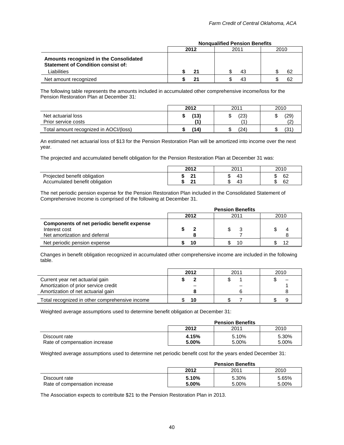|                                                                                                    | 2012 | 2011 | 2010 |
|----------------------------------------------------------------------------------------------------|------|------|------|
| Amounts recognized in the Consolidated<br><b>Statement of Condition consist of:</b><br>Liabilities | 21   | 43   | 62   |
| Net amount recognized                                                                              | 21   | 43   | 62   |

### **Nonqualified Pension Benefits**

The following table represents the amounts included in accumulated other comprehensive income/loss for the Pension Restoration Plan at December 31:

|                                           | 2012 | 2011        | 2010      |  |  |
|-------------------------------------------|------|-------------|-----------|--|--|
| Net actuarial loss<br>Prior service costs | (13) | (23)<br>΄ 1 | (29)<br>∼ |  |  |
| Total amount recognized in AOCI/(loss)    | (14) | (24)        | (31       |  |  |

An estimated net actuarial loss of \$13 for the Pension Restoration Plan will be amortized into income over the next year.

The projected and accumulated benefit obligation for the Pension Restoration Plan at December 31 was:

|                                                                | 2012                  | 201'      | 2010                  |
|----------------------------------------------------------------|-----------------------|-----------|-----------------------|
| Projected benefit obligation<br>Accumulated benefit obligation | $\sim$<br>-<br>$\sim$ | ن+<br>′+~ | 62<br>ĸIJ<br>€r<br>υz |

The net periodic pension expense for the Pension Restoration Plan included in the Consolidated Statement of Comprehensive Income is comprised of the following at December 31.

|                                                                                              | <b>Pension Benefits</b> |      |      |  |  |  |
|----------------------------------------------------------------------------------------------|-------------------------|------|------|--|--|--|
|                                                                                              | 2012                    | 2011 | 2010 |  |  |  |
| Components of net periodic benefit expense<br>Interest cost<br>Net amortization and deferral |                         |      |      |  |  |  |
| Net periodic pension expense                                                                 | 10                      | 10   | 12   |  |  |  |

Changes in benefit obligation recognized in accumulated other comprehensive income are included in the following table.

|                                                                         | 2012 | 2011 | 2010 |
|-------------------------------------------------------------------------|------|------|------|
| Current year net actuarial gain<br>Amortization of prior service credit |      |      |      |
| Amortization of net actuarial gain                                      |      |      |      |
| Total recognized in other comprehensive income                          | 10   |      |      |

Weighted average assumptions used to determine benefit obligation at December 31:

|                                                |                   | <b>Pension Benefits</b> |                |
|------------------------------------------------|-------------------|-------------------------|----------------|
|                                                | 2012              | 2011                    | 2010           |
| Discount rate<br>Rate of compensation increase | 4.15%<br>$5.00\%$ | 5.10%<br>5.00%          | 5.30%<br>5.00% |

Weighted average assumptions used to determine net periodic benefit cost for the years ended December 31:

|                                                | <b>Pension Benefits</b> |                |                |  |  |
|------------------------------------------------|-------------------------|----------------|----------------|--|--|
|                                                | 2012                    | 2011           | 2010           |  |  |
| Discount rate<br>Rate of compensation increase | 5.10%<br>5.00%          | 5.30%<br>5.00% | 5.65%<br>5.00% |  |  |

The Association expects to contribute \$21 to the Pension Restoration Plan in 2013.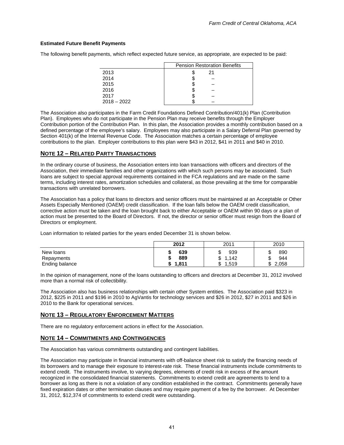### **Estimated Future Benefit Payments**

The following benefit payments, which reflect expected future service, as appropriate, are expected to be paid:

|               | <b>Pension Restoration Benefits</b> |
|---------------|-------------------------------------|
| 2013          | 21                                  |
| 2014          |                                     |
| 2015          |                                     |
| 2016          |                                     |
| 2017          |                                     |
| $2018 - 2022$ |                                     |

The Association also participates in the Farm Credit Foundations Defined Contribution/401(k) Plan (Contribution Plan). Employees who do not participate in the Pension Plan may receive benefits through the Employer Contribution portion of the Contribution Plan. In this plan, the Association provides a monthly contribution based on a defined percentage of the employee's salary. Employees may also participate in a Salary Deferral Plan governed by Section 401(k) of the Internal Revenue Code. The Association matches a certain percentage of employee contributions to the plan. Employer contributions to this plan were \$43 in 2012, \$41 in 2011 and \$40 in 2010.

### **NOTE 12 – RELATED PARTY TRANSACTIONS**

In the ordinary course of business, the Association enters into loan transactions with officers and directors of the Association, their immediate families and other organizations with which such persons may be associated. Such loans are subject to special approval requirements contained in the FCA regulations and are made on the same terms, including interest rates, amortization schedules and collateral, as those prevailing at the time for comparable transactions with unrelated borrowers.

The Association has a policy that loans to directors and senior officers must be maintained at an Acceptable or Other Assets Especially Mentioned (OAEM) credit classification. If the loan falls below the OAEM credit classification, corrective action must be taken and the loan brought back to either Acceptable or OAEM within 90 days or a plan of action must be presented to the Board of Directors. If not, the director or senior officer must resign from the Board of Directors or employment.

Loan information to related parties for the years ended December 31 is shown below.

|                         | 2012        | 2011                         | 2010                  |
|-------------------------|-------------|------------------------------|-----------------------|
| New loans<br>Repayments | 639<br>889  | ሶ<br>939<br>۰D<br>1,142<br>ጦ | 890<br>.<br>944<br>۰n |
| Ending balance          | 1,811<br>۰D | 1,519<br>ᠬ<br>J              | 2,058                 |

In the opinion of management, none of the loans outstanding to officers and directors at December 31, 2012 involved more than a normal risk of collectibility.

The Association also has business relationships with certain other System entities. The Association paid \$323 in 2012, \$225 in 2011 and \$196 in 2010 to AgVantis for technology services and \$26 in 2012, \$27 in 2011 and \$26 in 2010 to the Bank for operational services.

### **NOTE 13 – REGULATORY ENFORCEMENT MATTERS**

There are no regulatory enforcement actions in effect for the Association.

### **NOTE 14 – COMMITMENTS AND CONTINGENCIES**

The Association has various commitments outstanding and contingent liabilities.

The Association may participate in financial instruments with off-balance sheet risk to satisfy the financing needs of its borrowers and to manage their exposure to interest-rate risk. These financial instruments include commitments to extend credit. The instruments involve, to varying degrees, elements of credit risk in excess of the amount recognized in the consolidated financial statements. Commitments to extend credit are agreements to lend to a borrower as long as there is not a violation of any condition established in the contract. Commitments generally have fixed expiration dates or other termination clauses and may require payment of a fee by the borrower. At December 31, 2012, \$12,374 of commitments to extend credit were outstanding.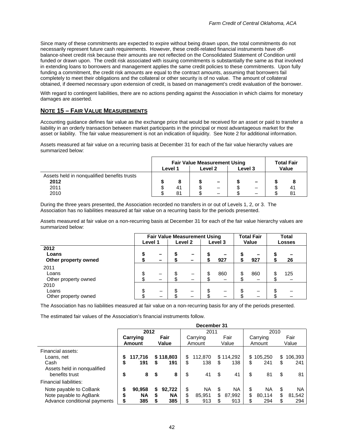Since many of these commitments are expected to expire without being drawn upon, the total commitments do not necessarily represent future cash requirements. However, these credit-related financial instruments have offbalance-sheet credit risk because their amounts are not reflected on the Consolidated Statement of Condition until funded or drawn upon. The credit risk associated with issuing commitments is substantially the same as that involved in extending loans to borrowers and management applies the same credit policies to these commitments. Upon fully funding a commitment, the credit risk amounts are equal to the contract amounts, assuming that borrowers fail completely to meet their obligations and the collateral or other security is of no value. The amount of collateral obtained, if deemed necessary upon extension of credit, is based on management's credit evaluation of the borrower.

With regard to contingent liabilities, there are no actions pending against the Association in which claims for monetary damages are asserted.

### **NOTE 15 – FAIR VALUE MEASUREMENTS**

Accounting guidance defines fair value as the exchange price that would be received for an asset or paid to transfer a liability in an orderly transaction between market participants in the principal or most advantageous market for the asset or liability. The fair value measurement is not an indication of liquidity. See Note 2 for additional information.

Assets measured at fair value on a recurring basis at December 31 for each of the fair value hierarchy values are summarized below:

|                                                     | <b>Fair Value Measurement Using</b><br>Level 2<br>Level 3<br>Level 1 |    |  |                          |  |   | <b>Total Fair</b><br>Value |              |
|-----------------------------------------------------|----------------------------------------------------------------------|----|--|--------------------------|--|---|----------------------------|--------------|
| Assets held in nongualified benefits trusts<br>2012 |                                                                      |    |  | $\overline{\phantom{m}}$ |  | - |                            |              |
| 2011                                                |                                                                      | 41 |  | -                        |  |   |                            | $4^{\prime}$ |
| 2010                                                |                                                                      | 81 |  | -                        |  | - |                            | $8^{\prime}$ |

During the three years presented, the Association recorded no transfers in or out of Levels 1, 2, or 3. The Association has no liabilities measured at fair value on a recurring basis for the periods presented.

Assets measured at fair value on a non-recurring basis at December 31 for each of the fair value hierarchy values are summarized below:

|                                       | <b>Fair Value Measurement Using</b><br>Level <sub>2</sub><br>Level 1<br>Level 3 |   |   |                          |     | <b>Total Fair</b><br>Value |     | <b>Total</b><br><b>Losses</b> |     |  |
|---------------------------------------|---------------------------------------------------------------------------------|---|---|--------------------------|-----|----------------------------|-----|-------------------------------|-----|--|
| 2012<br>Loans<br>Other property owned |                                                                                 | - |   | $\overline{\phantom{a}}$ | 927 | Φ                          | 927 |                               | 26  |  |
| 2011<br>Loans<br>Other property owned | J                                                                               |   |   |                          | 860 | \$                         | 860 | c<br>Œ                        | 125 |  |
| 2010<br>Loans<br>Other property owned | \$                                                                              |   | ъ | -                        | –   | \$                         |     | Œ                             |     |  |

The Association has no liabilities measured at fair value on a non-recurring basis for any of the periods presented.

The estimated fair values of the Association's financial instruments follow.

|                              | December 31 |               |    |           |          |         |    |           |     |          |    |           |  |
|------------------------------|-------------|---------------|----|-----------|----------|---------|----|-----------|-----|----------|----|-----------|--|
|                              |             | 2012          |    |           |          | 2011    |    |           |     | 2010     |    |           |  |
|                              |             | Carrying      |    | Fair      | Carrying |         |    | Fair      |     | Carrying |    | Fair      |  |
|                              |             | <b>Amount</b> |    | Value     |          | Amount  |    | Value     |     | Amount   |    | Value     |  |
| Financial assets:            |             |               |    |           |          |         |    |           |     |          |    |           |  |
| Loans. net                   |             | 117.716       |    | \$118.803 | \$       | 112.870 |    | \$114.292 | \$. | 105,250  | \$ | 106,393   |  |
| Cash                         | \$          | 191           | S  | 191       | \$       | 138     | \$ | 138       | \$  | 241      | \$ | 241       |  |
| Assets held in nonqualified  |             |               |    |           |          |         |    |           |     |          |    |           |  |
| benefits trust               | \$          | 8             | S  | 8         | \$       | 41      | \$ | 41        | \$  | 81       | \$ | 81        |  |
| Financial liabilities:       |             |               |    |           |          |         |    |           |     |          |    |           |  |
| Note payable to CoBank       |             | 90,958        | S. | 92,722    | \$       | ΝA      | \$ | ΝA        | \$  | ΝA       | \$ | <b>NA</b> |  |
| Note payable to AgBank       |             | <b>NA</b>     | S  | <b>NA</b> | \$       | 85,951  | \$ | 87,992    | \$  | 80,114   | \$ | 81,542    |  |
| Advance conditional payments | S           | 385           |    | 385       | \$.      | 913     | \$ | 913       |     | 294      | \$ | 294       |  |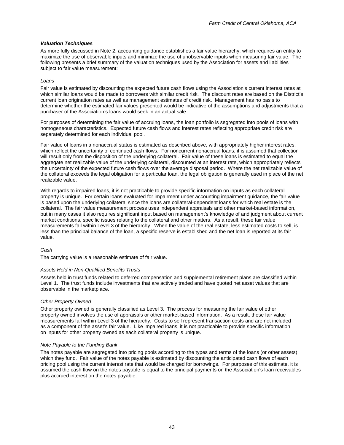### *Valuation Techniques*

As more fully discussed in Note 2, accounting guidance establishes a fair value hierarchy, which requires an entity to maximize the use of observable inputs and minimize the use of unobservable inputs when measuring fair value. The following presents a brief summary of the valuation techniques used by the Association for assets and liabilities subject to fair value measurement:

### *Loans*

Fair value is estimated by discounting the expected future cash flows using the Association's current interest rates at which similar loans would be made to borrowers with similar credit risk. The discount rates are based on the District's current loan origination rates as well as management estimates of credit risk. Management has no basis to determine whether the estimated fair values presented would be indicative of the assumptions and adjustments that a purchaser of the Association's loans would seek in an actual sale.

For purposes of determining the fair value of accruing loans, the loan portfolio is segregated into pools of loans with homogeneous characteristics. Expected future cash flows and interest rates reflecting appropriate credit risk are separately determined for each individual pool.

Fair value of loans in a nonaccrual status is estimated as described above, with appropriately higher interest rates, which reflect the uncertainty of continued cash flows. For noncurrent nonaccrual loans, it is assumed that collection will result only from the disposition of the underlying collateral. Fair value of these loans is estimated to equal the aggregate net realizable value of the underlying collateral, discounted at an interest rate, which appropriately reflects the uncertainty of the expected future cash flows over the average disposal period. Where the net realizable value of the collateral exceeds the legal obligation for a particular loan, the legal obligation is generally used in place of the net realizable value.

With regards to impaired loans, it is not practicable to provide specific information on inputs as each collateral property is unique. For certain loans evaluated for impairment under accounting impairment guidance, the fair value is based upon the underlying collateral since the loans are collateral-dependent loans for which real estate is the collateral. The fair value measurement process uses independent appraisals and other market-based information, but in many cases it also requires significant input based on management's knowledge of and judgment about current market conditions, specific issues relating to the collateral and other matters. As a result, these fair value measurements fall within Level 3 of the hierarchy. When the value of the real estate, less estimated costs to sell, is less than the principal balance of the loan, a specific reserve is established and the net loan is reported at its fair value.

### *Cash*

The carrying value is a reasonable estimate of fair value.

### *Assets Held in Non-Qualified Benefits Trusts*

Assets held in trust funds related to deferred compensation and supplemental retirement plans are classified within Level 1. The trust funds include investments that are actively traded and have quoted net asset values that are observable in the marketplace.

### *Other Property Owned*

Other property owned is generally classified as Level 3. The process for measuring the fair value of other property owned involves the use of appraisals or other market-based information. As a result, these fair value measurements fall within Level 3 of the hierarchy. Costs to sell represent transaction costs and are not included as a component of the asset's fair value. Like impaired loans, it is not practicable to provide specific information on inputs for other property owned as each collateral property is unique.

### *Note Payable to the Funding Bank*

The notes payable are segregated into pricing pools according to the types and terms of the loans (or other assets), which they fund. Fair value of the notes payable is estimated by discounting the anticipated cash flows of each pricing pool using the current interest rate that would be charged for borrowings. For purposes of this estimate, it is assumed the cash flow on the notes payable is equal to the principal payments on the Association's loan receivables plus accrued interest on the notes payable.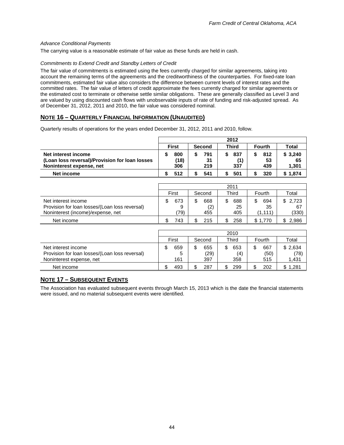### *Advance Conditional Payments*

The carrying value is a reasonable estimate of fair value as these funds are held in cash.

### *Commitments to Extend Credit and Standby Letters of Credit*

The fair value of commitments is estimated using the fees currently charged for similar agreements, taking into account the remaining terms of the agreements and the creditworthiness of the counterparties. For fixed-rate loan commitments, estimated fair value also considers the difference between current levels of interest rates and the committed rates. The fair value of letters of credit approximate the fees currently charged for similar agreements or the estimated cost to terminate or otherwise settle similar obligations. These are generally classified as Level 3 and are valued by using discounted cash flows with unobservable inputs of rate of funding and risk-adjusted spread. As of December 31, 2012, 2011 and 2010, the fair value was considered nominal.

### **NOTE 16 – QUARTERLY FINANCIAL INFORMATION (UNAUDITED)**

Quarterly results of operations for the years ended December 31, 2012, 2011 and 2010, follow.

|                                                                                                   | 2012 |                    |  |                  |  |                   |  |                  |                        |
|---------------------------------------------------------------------------------------------------|------|--------------------|--|------------------|--|-------------------|--|------------------|------------------------|
|                                                                                                   |      | <b>First</b>       |  | <b>Second</b>    |  | <b>Third</b>      |  | <b>Fourth</b>    | <b>Total</b>           |
| Net interest income<br>(Loan loss reversal)/Provision for loan losses<br>Noninterest expense, net |      | 800<br>(18)<br>306 |  | 791<br>31<br>219 |  | 837<br>(1)<br>337 |  | 812<br>53<br>439 | \$3,240<br>65<br>1,301 |
| Net income                                                                                        |      | 512                |  | 541              |  | 501               |  | 320              | 1,874                  |
|                                                                                                   |      |                    |  |                  |  |                   |  |                  |                        |

|                                                                                                            | 2011            |                   |                        |                            |                            |  |  |  |  |
|------------------------------------------------------------------------------------------------------------|-----------------|-------------------|------------------------|----------------------------|----------------------------|--|--|--|--|
|                                                                                                            | First           | Second            | Third                  | Fourth                     | Total                      |  |  |  |  |
| Net interest income<br>Provision for loan losses/(Loan loss reversal)<br>Noninterest (income)/expense, net | 673<br>9<br>79) | 668<br>(2)<br>455 | 688<br>\$<br>25<br>405 | \$<br>694<br>35<br>(1.111) | \$<br>2.723<br>67<br>(330) |  |  |  |  |
| Net income                                                                                                 | 743             | 215               | 258                    | 1.770                      | 2.986                      |  |  |  |  |

|                                                                                                   | 2010 |                 |  |                    |    |                   |        |                    |                          |
|---------------------------------------------------------------------------------------------------|------|-----------------|--|--------------------|----|-------------------|--------|--------------------|--------------------------|
|                                                                                                   |      | First           |  | Second             |    | Third             |        | Fourth             | Total                    |
| Net interest income<br>Provision for loan losses/(Loan loss reversal)<br>Noninterest expense, net |      | 659<br>5<br>161 |  | 655<br>(29)<br>397 | \$ | 653<br>(4)<br>358 | ጦ<br>Œ | 667<br>(50)<br>515 | \$2,634<br>(78)<br>1,431 |
| Net income                                                                                        |      | 493             |  | 287                |    | 299               |        | 202                | 1,281                    |

### **NOTE 17 – SUBSEQUENT EVENTS**

The Association has evaluated subsequent events through March 15, 2013 which is the date the financial statements were issued, and no material subsequent events were identified.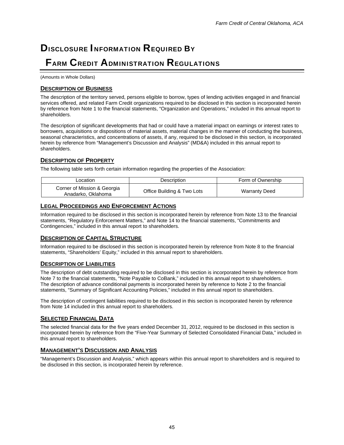# **DISCLOSURE INFORMATION REQUIRED BY** FARM CREDIT ADMINISTRATION REGULATIONS

(Amounts in Whole Dollars)

### **DESCRIPTION OF BUSINESS**

The description of the territory served, persons eligible to borrow, types of lending activities engaged in and financial services offered, and related Farm Credit organizations required to be disclosed in this section is incorporated herein by reference from Note 1 to the financial statements, "Organization and Operations," included in this annual report to shareholders.

The description of significant developments that had or could have a material impact on earnings or interest rates to borrowers, acquisitions or dispositions of material assets, material changes in the manner of conducting the business, seasonal characteristics, and concentrations of assets, if any, required to be disclosed in this section, is incorporated herein by reference from "Management's Discussion and Analysis" (MD&A) included in this annual report to shareholders.

### **DESCRIPTION OF PROPERTY**

The following table sets forth certain information regarding the properties of the Association:

| Location                                          | Description                | Form of Ownership    |
|---------------------------------------------------|----------------------------|----------------------|
| Corner of Mission & Georgia<br>Anadarko, Oklahoma | Office Building & Two Lots | <b>Warranty Deed</b> |

### **LEGAL PROCEEDINGS AND ENFORCEMENT ACTIONS**

Information required to be disclosed in this section is incorporated herein by reference from Note 13 to the financial statements, "Regulatory Enforcement Matters," and Note 14 to the financial statements, "Commitments and Contingencies," included in this annual report to shareholders.

### **DESCRIPTION OF CAPITAL STRUCTURE**

Information required to be disclosed in this section is incorporated herein by reference from Note 8 to the financial statements, "Shareholders' Equity," included in this annual report to shareholders.

### **DESCRIPTION OF LIABILITIES**

The description of debt outstanding required to be disclosed in this section is incorporated herein by reference from Note 7 to the financial statements, "Note Payable to CoBank," included in this annual report to shareholders. The description of advance conditional payments is incorporated herein by reference to Note 2 to the financial statements, "Summary of Significant Accounting Policies," included in this annual report to shareholders.

The description of contingent liabilities required to be disclosed in this section is incorporated herein by reference from Note 14 included in this annual report to shareholders.

### **SELECTED FINANCIAL DATA**

The selected financial data for the five years ended December 31, 2012, required to be disclosed in this section is incorporated herein by reference from the "Five-Year Summary of Selected Consolidated Financial Data," included in this annual report to shareholders.

### **MANAGEMENT'S DISCUSSION AND ANALYSIS**

"Management's Discussion and Analysis," which appears within this annual report to shareholders and is required to be disclosed in this section, is incorporated herein by reference.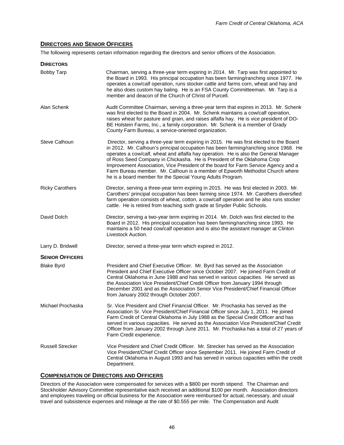### **DIRECTORS AND SENIOR OFFICERS**

The following represents certain information regarding the directors and senior officers of the Association.

| <b>DIRECTORS</b>        |                                                                                                                                                                                                                                                                                                                                                                                                                                                                                                                                                                                         |
|-------------------------|-----------------------------------------------------------------------------------------------------------------------------------------------------------------------------------------------------------------------------------------------------------------------------------------------------------------------------------------------------------------------------------------------------------------------------------------------------------------------------------------------------------------------------------------------------------------------------------------|
| <b>Bobby Tarp</b>       | Chairman, serving a three-year term expiring in 2014. Mr. Tarp was first appointed to<br>the Board in 1993. His principal occupation has been farming/ranching since 1977. He<br>operates a cow/calf operation, runs stocker cattle and farms corn, wheat and hay and<br>he also does custom hay baling. He is an FSA County Committeeman. Mr. Tarp is a<br>member and deacon of the Church of Christ of Purcell.                                                                                                                                                                       |
| Alan Schenk             | Audit Committee Chairman, serving a three-year term that expires in 2013. Mr. Schenk<br>was first elected to the Board in 2004. Mr. Schenk maintains a cow/calf operation,<br>raises wheat for pasture and grain, and raises alfalfa hay. He is vice president of DO-<br>BE Holstein Farms, Inc., a family corporation. Mr. Schenk is a member of Grady<br>County Farm Bureau, a service-oriented organization.                                                                                                                                                                         |
| Steve Calhoun           | Director, serving a three-year term expiring in 2015. He was first elected to the Board<br>in 2012. Mr. Calhoun's principal occupation has been farming/ranching since 1968. He<br>operates a cow/calf, wheat and alfalfa hay operation. He is also the General Manager<br>of Ross Seed Company in Chickasha. He is President of the Oklahoma Crop<br>Improvement Association, Vice President of the board for Farm Service Agency and a<br>Farm Bureau member. Mr. Calhoun is a member of Epworth Methodist Church where<br>he is a board member for the Special Young Adults Program. |
| <b>Ricky Carothers</b>  | Director, serving a three-year term expiring in 2015. He was first elected in 2003. Mr.<br>Carothers' principal occupation has been farming since 1974. Mr. Carothers diversified<br>farm operation consists of wheat, cotton, a cow/calf operation and he also runs stocker<br>cattle. He is retired from teaching sixth grade at Snyder Public Schools.                                                                                                                                                                                                                               |
| David Dolch             | Director, serving a two-year term expiring in 2014. Mr. Dolch was first elected to the<br>Board in 2012. His principal occupation has been farming/ranching since 1993. He<br>maintains a 50 head cow/calf operation and is also the assistant manager at Clinton<br>Livestock Auction.                                                                                                                                                                                                                                                                                                 |
| Larry D. Bridwell       | Director, served a three-year term which expired in 2012.                                                                                                                                                                                                                                                                                                                                                                                                                                                                                                                               |
| <b>SENIOR OFFICERS</b>  |                                                                                                                                                                                                                                                                                                                                                                                                                                                                                                                                                                                         |
| <b>Blake Byrd</b>       | President and Chief Executive Officer. Mr. Byrd has served as the Association<br>President and Chief Executive Officer since October 2007. He joined Farm Credit of<br>Central Oklahoma in June 1988 and has served in various capacities. He served as<br>the Association Vice President/Chief Credit Officer from January 1994 through<br>December 2001 and as the Association Senior Vice President/Chief Financial Officer<br>from January 2002 through October 2007.                                                                                                               |
| Michael Prochaska       | Sr. Vice President and Chief Financial Officer. Mr. Prochaska has served as the<br>Association Sr. Vice President/Chief Financial Officer since July 1, 2011. He joined<br>Farm Credit of Central Oklahoma in July 1988 as the Special Credit Officer and has<br>served in various capacities. He served as the Association Vice President/Chief Credit<br>Officer from January 2002 through June 2011. Mr. Prochaska has a total of 27 years of<br>Farm Credit experience.                                                                                                             |
| <b>Russell Strecker</b> | Vice President and Chief Credit Officer. Mr. Strecker has served as the Association<br>Vice President/Chief Credit Officer since September 2011. He joined Farm Credit of<br>Central Oklahoma in August 1993 and has served in various capacities within the credit<br>Department.                                                                                                                                                                                                                                                                                                      |

### **COMPENSATION OF DIRECTORS AND OFFICERS**

Directors of the Association were compensated for services with a \$800 per month stipend. The Chairman and Stockholder Advisory Committee representative each received an additional \$100 per month. Association directors and employees traveling on official business for the Association were reimbursed for actual, necessary, and usual travel and subsistence expenses and mileage at the rate of \$0.555 per mile. The Compensation and Audit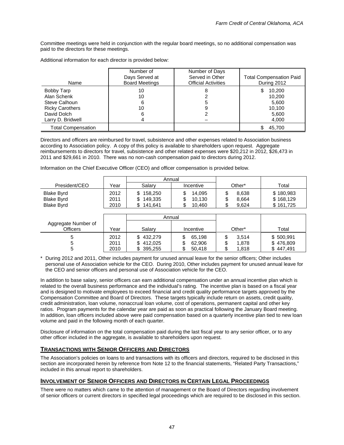Committee meetings were held in conjunction with the regular board meetings, so no additional compensation was paid to the directors for these meetings.

| Name                                                                 | Number of<br>Days Served at<br><b>Board Meetings</b> | Number of Days<br>Served in Other<br><b>Official Activities</b> | <b>Total Compensation Paid</b><br>During 2012 |
|----------------------------------------------------------------------|------------------------------------------------------|-----------------------------------------------------------------|-----------------------------------------------|
| Bobby Tarp<br>Alan Schenk<br>Steve Calhoun<br><b>Ricky Carothers</b> | 10<br>10<br>6<br>10                                  | 5                                                               | 10,200<br>10.200<br>5,600<br>10.100           |
| David Dolch<br>Larry D. Bridwell                                     | 6                                                    |                                                                 | 5,600<br>4,000                                |
| <b>Total Compensation</b>                                            |                                                      |                                                                 | 45,700                                        |

Additional information for each director is provided below:

Directors and officers are reimbursed for travel, subsistence and other expenses related to Association business according to Association policy. A copy of this policy is available to shareholders upon request. Aggregate reimbursements to directors for travel, subsistence and other related expenses were \$20,212 in 2012, \$26,473 in 2011 and \$29,661 in 2010. There was no non-cash compensation paid to directors during 2012.

Information on the Chief Executive Officer (CEO) and officer compensation is provided below.

|                                        |              | Annual                          |                  |                           |                        |
|----------------------------------------|--------------|---------------------------------|------------------|---------------------------|------------------------|
| President/CEO                          | Year         | Salarv                          | Incentive        | Other*                    | Total                  |
| <b>Blake Byrd</b><br><b>Blake Byrd</b> | 2012<br>2011 | 158,250<br>S.<br>149.335<br>\$. | 14.095<br>10.130 | 8.638<br>J<br>\$<br>8.664 | \$180,983<br>\$168,129 |
| <b>Blake Byrd</b>                      | 2010         | 141.641<br>S                    | 10.460           | \$<br>9.624               | \$161,725              |

|                                 |                      |                                               | Annual                                |                              |                                     |
|---------------------------------|----------------------|-----------------------------------------------|---------------------------------------|------------------------------|-------------------------------------|
| Aggregate Number of<br>Officers | Year                 | Salarv                                        | Incentive                             | Other*                       | Total                               |
|                                 | 2012<br>2011<br>2010 | \$432,279<br>412,025<br>\$.<br>395,255<br>\$. | S<br>65,198<br>62,906<br>\$<br>50,418 | 3,514<br>æ<br>1,878<br>1,818 | \$500,991<br>\$476,809<br>\$447,491 |

\* During 2012 and 2011, Other includes payment for unused annual leave for the senior officers; Other includes personal use of Association vehicle for the CEO. During 2010, Other includes payment for unused annual leave for the CEO and senior officers and personal use of Association vehicle for the CEO.

In addition to base salary, senior officers can earn additional compensation under an annual incentive plan which is related to the overall business performance and the individual's rating. The incentive plan is based on a fiscal year and is designed to motivate employees to exceed financial and credit quality performance targets approved by the Compensation Committee and Board of Directors. These targets typically include return on assets, credit quality, credit administration, loan volume, nonaccrual loan volume, cost of operations, permanent capital and other key ratios. Program payments for the calendar year are paid as soon as practical following the January Board meeting. In addition, loan officers included above were paid compensation based on a quarterly incentive plan tied to new loan volume and paid in the following month of each quarter.

Disclosure of information on the total compensation paid during the last fiscal year to any senior officer, or to any other officer included in the aggregate, is available to shareholders upon request.

### **TRANSACTIONS WITH SENIOR OFFICERS AND DIRECTORS**

The Association's policies on loans to and transactions with its officers and directors, required to be disclosed in this section are incorporated herein by reference from Note 12 to the financial statements, "Related Party Transactions," included in this annual report to shareholders.

### **INVOLVEMENT OF SENIOR OFFICERS AND DIRECTORS IN CERTAIN LEGAL PROCEEDINGS**

There were no matters which came to the attention of management or the Board of Directors regarding involvement of senior officers or current directors in specified legal proceedings which are required to be disclosed in this section.